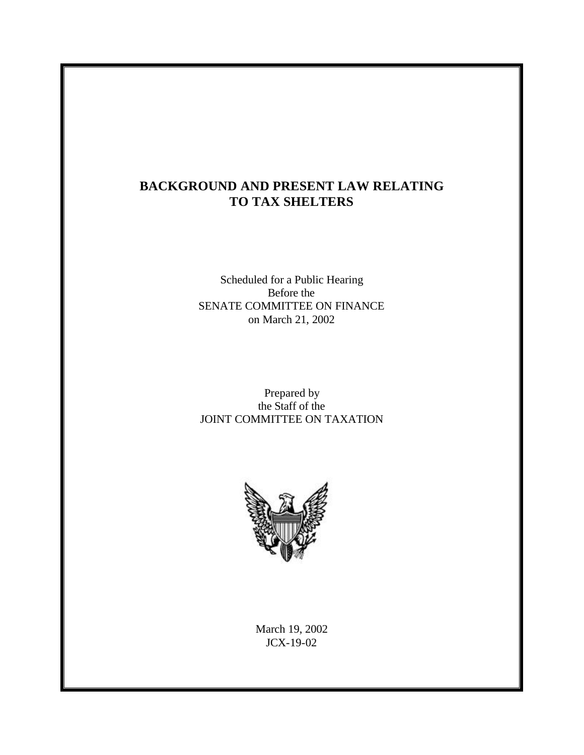# **BACKGROUND AND PRESENT LAW RELATING TO TAX SHELTERS**

Scheduled for a Public Hearing Before the SENATE COMMITTEE ON FINANCE on March 21, 2002

Prepared by the Staff of the JOINT COMMITTEE ON TAXATION



March 19, 2002 JCX-19-02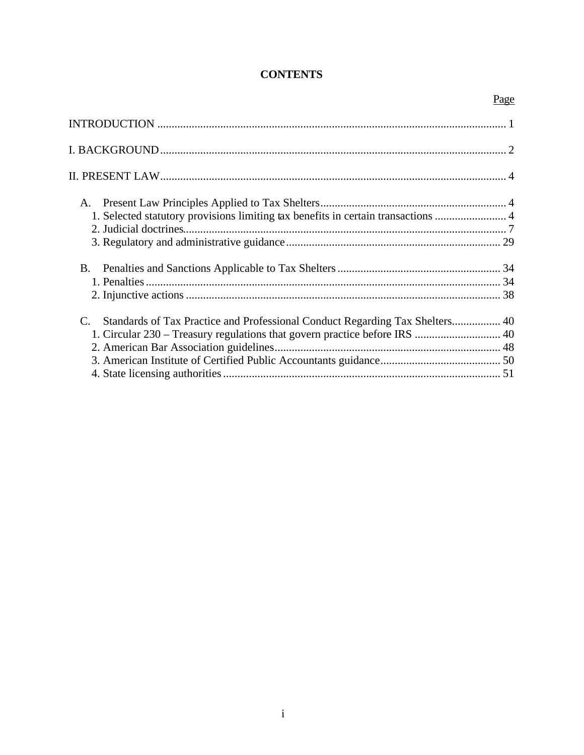# **CONTENTS**

| 1. Selected statutory provisions limiting tax benefits in certain transactions  4 |  |
|-----------------------------------------------------------------------------------|--|
|                                                                                   |  |
|                                                                                   |  |
|                                                                                   |  |
|                                                                                   |  |
|                                                                                   |  |
| C. Standards of Tax Practice and Professional Conduct Regarding Tax Shelters 40   |  |
|                                                                                   |  |
|                                                                                   |  |
|                                                                                   |  |
|                                                                                   |  |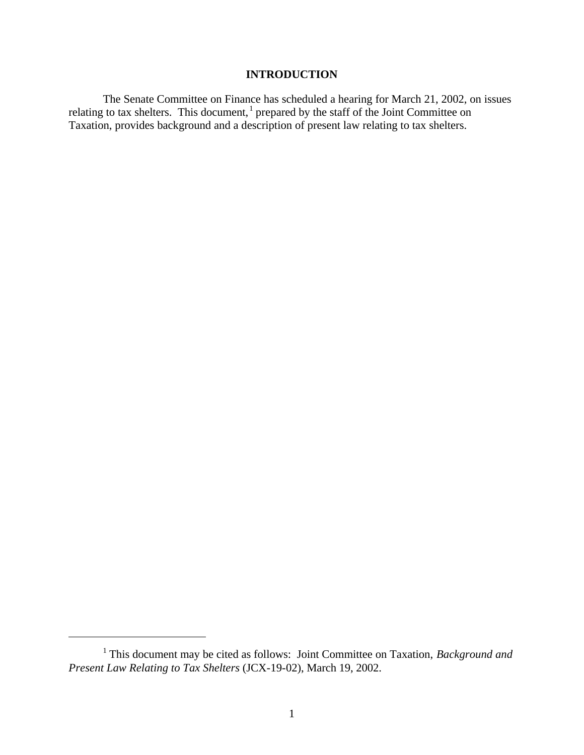# **INTRODUCTION**

The Senate Committee on Finance has scheduled a hearing for March 21, 2002, on issues relating to tax shelters. This document,  $\frac{1}{1}$  prepared by the staff of the Joint Committee on Taxation, provides background and a description of present law relating to tax shelters.

 $\overline{a}$ 

<sup>&</sup>lt;sup>1</sup> This document may be cited as follows: Joint Committee on Taxation, *Background and Present Law Relating to Tax Shelters* (JCX-19-02), March 19, 2002.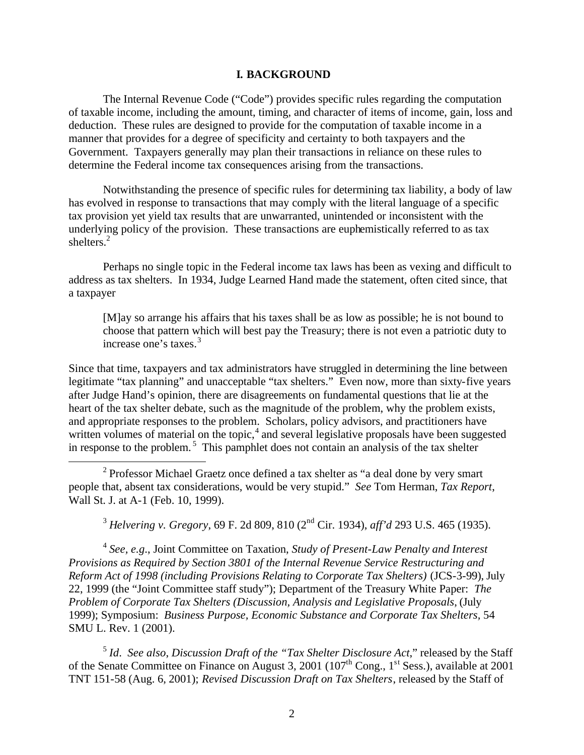#### **I. BACKGROUND**

The Internal Revenue Code ("Code") provides specific rules regarding the computation of taxable income, including the amount, timing, and character of items of income, gain, loss and deduction. These rules are designed to provide for the computation of taxable income in a manner that provides for a degree of specificity and certainty to both taxpayers and the Government. Taxpayers generally may plan their transactions in reliance on these rules to determine the Federal income tax consequences arising from the transactions.

Notwithstanding the presence of specific rules for determining tax liability, a body of law has evolved in response to transactions that may comply with the literal language of a specific tax provision yet yield tax results that are unwarranted, unintended or inconsistent with the underlying policy of the provision. These transactions are euphemistically referred to as tax shelters.<sup>2</sup>

Perhaps no single topic in the Federal income tax laws has been as vexing and difficult to address as tax shelters. In 1934, Judge Learned Hand made the statement, often cited since, that a taxpayer

[M]ay so arrange his affairs that his taxes shall be as low as possible; he is not bound to choose that pattern which will best pay the Treasury; there is not even a patriotic duty to increase one's taxes.<sup>3</sup>

Since that time, taxpayers and tax administrators have struggled in determining the line between legitimate "tax planning" and unacceptable "tax shelters." Even now, more than sixty-five years after Judge Hand's opinion, there are disagreements on fundamental questions that lie at the heart of the tax shelter debate, such as the magnitude of the problem, why the problem exists, and appropriate responses to the problem. Scholars, policy advisors, and practitioners have written volumes of material on the topic, $4$  and several legislative proposals have been suggested in response to the problem.<sup>5</sup> This pamphlet does not contain an analysis of the tax shelter

<sup>2</sup> Professor Michael Graetz once defined a tax shelter as "a deal done by very smart people that, absent tax considerations, would be very stupid." *See* Tom Herman, *Tax Report*, Wall St. J. at A-1 (Feb. 10, 1999).

 $\overline{a}$ 

<sup>3</sup> *Helvering v. Gregory*, 69 F. 2d 809, 810 (2nd Cir. 1934), *aff'd* 293 U.S. 465 (1935).

4 *See, e.g*., Joint Committee on Taxation, *Study of Present-Law Penalty and Interest Provisions as Required by Section 3801 of the Internal Revenue Service Restructuring and Reform Act of 1998 (including Provisions Relating to Corporate Tax Shelters)* (JCS-3-99), July 22, 1999 (the "Joint Committee staff study"); Department of the Treasury White Paper: *The Problem of Corporate Tax Shelters (Discussion, Analysis and Legislative Proposals*, (July 1999); Symposium: *Business Purpose, Economic Substance and Corporate Tax Shelters,* 54 SMU L. Rev. 1 (2001).

5 *Id*. *See also*, *Discussion Draft of the "Tax Shelter Disclosure Act*," released by the Staff of the Senate Committee on Finance on August 3, 2001 (107<sup>th</sup> Cong., 1<sup>st</sup> Sess.), available at 2001 TNT 151-58 (Aug. 6, 2001); *Revised Discussion Draft on Tax Shelters*, released by the Staff of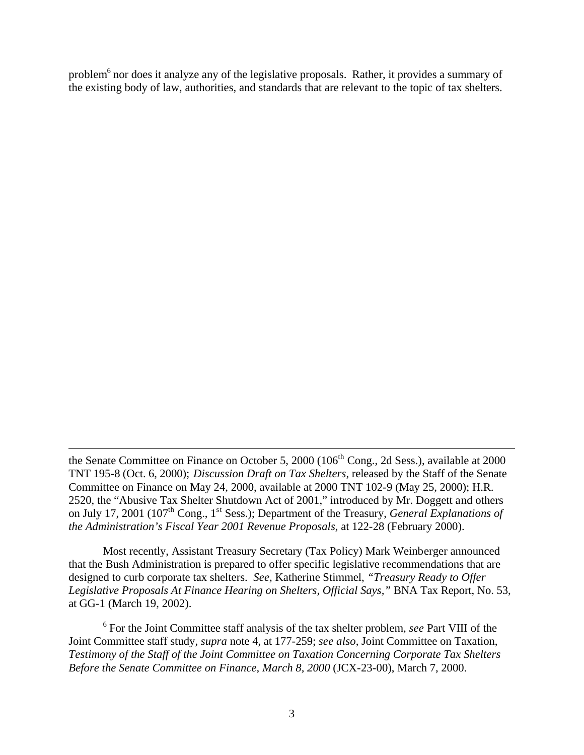problem<sup>6</sup> nor does it analyze any of the legislative proposals. Rather, it provides a summary of the existing body of law, authorities, and standards that are relevant to the topic of tax shelters.

 $\overline{a}$ 

Most recently, Assistant Treasury Secretary (Tax Policy) Mark Weinberger announced that the Bush Administration is prepared to offer specific legislative recommendations that are designed to curb corporate tax shelters. *See,* Katherine Stimmel, *"Treasury Ready to Offer Legislative Proposals At Finance Hearing on Shelters, Official Says,"* BNA Tax Report, No. 53, at GG-1 (March 19, 2002).

6 For the Joint Committee staff analysis of the tax shelter problem, *see* Part VIII of the Joint Committee staff study, *supra* note 4, at 177-259; *see also*, Joint Committee on Taxation, *Testimony of the Staff of the Joint Committee on Taxation Concerning Corporate Tax Shelters Before the Senate Committee on Finance, March 8, 2000* (JCX-23-00), March 7, 2000.

the Senate Committee on Finance on October 5, 2000 (106<sup>th</sup> Cong., 2d Sess.), available at 2000 TNT 195-8 (Oct. 6, 2000); *Discussion Draft on Tax Shelters*, released by the Staff of the Senate Committee on Finance on May 24, 2000, available at 2000 TNT 102-9 (May 25, 2000); H.R. 2520, the "Abusive Tax Shelter Shutdown Act of 2001," introduced by Mr. Doggett and others on July 17, 2001 (107<sup>th</sup> Cong., 1<sup>st</sup> Sess.); Department of the Treasury, *General Explanations of the Administration's Fiscal Year 2001 Revenue Proposals,* at 122-28 (February 2000).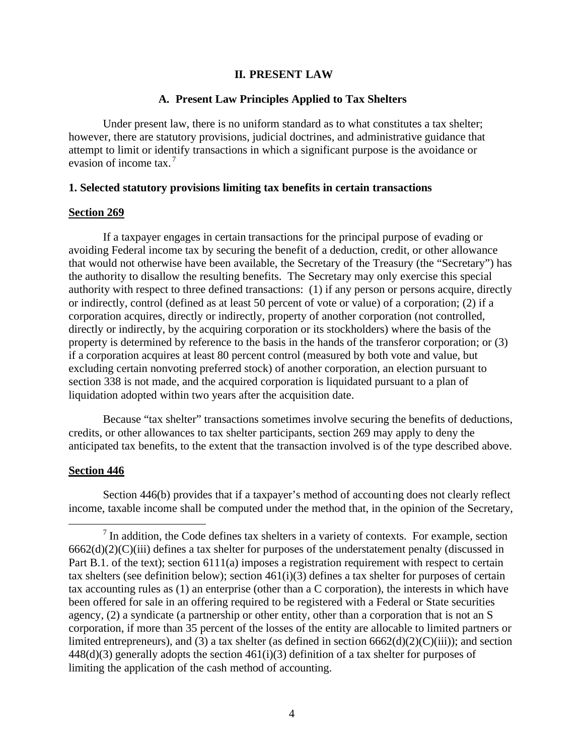### **II. PRESENT LAW**

### **A. Present Law Principles Applied to Tax Shelters**

Under present law, there is no uniform standard as to what constitutes a tax shelter; however, there are statutory provisions, judicial doctrines, and administrative guidance that attempt to limit or identify transactions in which a significant purpose is the avoidance or evasion of income tax.<sup>7</sup>

#### **1. Selected statutory provisions limiting tax benefits in certain transactions**

#### **Section 269**

If a taxpayer engages in certain transactions for the principal purpose of evading or avoiding Federal income tax by securing the benefit of a deduction, credit, or other allowance that would not otherwise have been available, the Secretary of the Treasury (the "Secretary") has the authority to disallow the resulting benefits. The Secretary may only exercise this special authority with respect to three defined transactions: (1) if any person or persons acquire, directly or indirectly, control (defined as at least 50 percent of vote or value) of a corporation; (2) if a corporation acquires, directly or indirectly, property of another corporation (not controlled, directly or indirectly, by the acquiring corporation or its stockholders) where the basis of the property is determined by reference to the basis in the hands of the transferor corporation; or (3) if a corporation acquires at least 80 percent control (measured by both vote and value, but excluding certain nonvoting preferred stock) of another corporation, an election pursuant to section 338 is not made, and the acquired corporation is liquidated pursuant to a plan of liquidation adopted within two years after the acquisition date.

Because "tax shelter" transactions sometimes involve securing the benefits of deductions, credits, or other allowances to tax shelter participants, section 269 may apply to deny the anticipated tax benefits, to the extent that the transaction involved is of the type described above.

### **Section 446**

 $\overline{a}$ 

Section 446(b) provides that if a taxpayer's method of accounting does not clearly reflect income, taxable income shall be computed under the method that, in the opinion of the Secretary,

 $<sup>7</sup>$  In addition, the Code defines tax shelters in a variety of contexts. For example, section</sup>  $6662(d)(2)(C)(iii)$  defines a tax shelter for purposes of the understatement penalty (discussed in Part B.1. of the text); section 6111(a) imposes a registration requirement with respect to certain tax shelters (see definition below); section 461(i)(3) defines a tax shelter for purposes of certain tax accounting rules as (1) an enterprise (other than a C corporation), the interests in which have been offered for sale in an offering required to be registered with a Federal or State securities agency, (2) a syndicate (a partnership or other entity, other than a corporation that is not an S corporation, if more than 35 percent of the losses of the entity are allocable to limited partners or limited entrepreneurs), and (3) a tax shelter (as defined in section 6662(d)(2)(C)(iii)); and section  $448(d)(3)$  generally adopts the section  $461(i)(3)$  definition of a tax shelter for purposes of limiting the application of the cash method of accounting.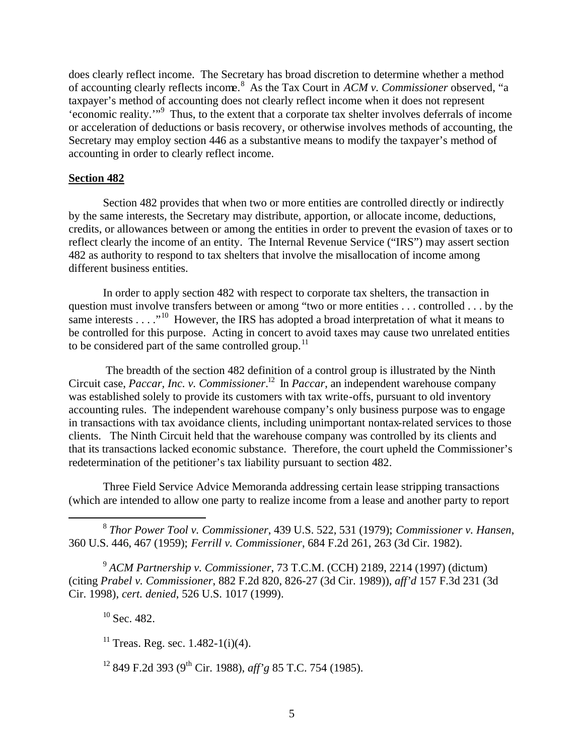does clearly reflect income. The Secretary has broad discretion to determine whether a method of accounting clearly reflects income.<sup>8</sup> As the Tax Court in *ACM v. Commissioner* observed, "a taxpayer's method of accounting does not clearly reflect income when it does not represent 'economic reality.'"<sup>9</sup> Thus, to the extent that a corporate tax shelter involves deferrals of income or acceleration of deductions or basis recovery, or otherwise involves methods of accounting, the Secretary may employ section 446 as a substantive means to modify the taxpayer's method of accounting in order to clearly reflect income.

# **Section 482**

Section 482 provides that when two or more entities are controlled directly or indirectly by the same interests, the Secretary may distribute, apportion, or allocate income, deductions, credits, or allowances between or among the entities in order to prevent the evasion of taxes or to reflect clearly the income of an entity. The Internal Revenue Service ("IRS") may assert section 482 as authority to respond to tax shelters that involve the misallocation of income among different business entities.

In order to apply section 482 with respect to corporate tax shelters, the transaction in question must involve transfers between or among "two or more entities . . . controlled . . . by the same interests  $\dots$  <sup>10</sup>. However, the IRS has adopted a broad interpretation of what it means to be controlled for this purpose. Acting in concert to avoid taxes may cause two unrelated entities to be considered part of the same controlled group.<sup>11</sup>

 The breadth of the section 482 definition of a control group is illustrated by the Ninth Circuit case, *Paccar, Inc. v. Commissioner*. <sup>12</sup> In *Paccar*, an independent warehouse company was established solely to provide its customers with tax write-offs, pursuant to old inventory accounting rules. The independent warehouse company's only business purpose was to engage in transactions with tax avoidance clients, including unimportant nontax-related services to those clients. The Ninth Circuit held that the warehouse company was controlled by its clients and that its transactions lacked economic substance. Therefore, the court upheld the Commissioner's redetermination of the petitioner's tax liability pursuant to section 482.

Three Field Service Advice Memoranda addressing certain lease stripping transactions (which are intended to allow one party to realize income from a lease and another party to report

8 *Thor Power Tool v. Commissioner*, 439 U.S. 522, 531 (1979); *Commissioner v. Hansen*, 360 U.S. 446, 467 (1959); *Ferrill v. Commissioner*, 684 F.2d 261, 263 (3d Cir. 1982).

<sup>9</sup> *ACM Partnership v. Commissioner*, 73 T.C.M. (CCH) 2189, 2214 (1997) (dictum) (citing *Prabel v. Commissioner*, 882 F.2d 820, 826-27 (3d Cir. 1989)), *aff'd* 157 F.3d 231 (3d Cir. 1998), *cert. denied*, 526 U.S. 1017 (1999).

 $10$  Sec. 482.

 $\overline{a}$ 

 $11$  Treas. Reg. sec. 1.482-1(i)(4).

<sup>12</sup> 849 F.2d 393 (9th Cir. 1988), *aff'g* 85 T.C. 754 (1985).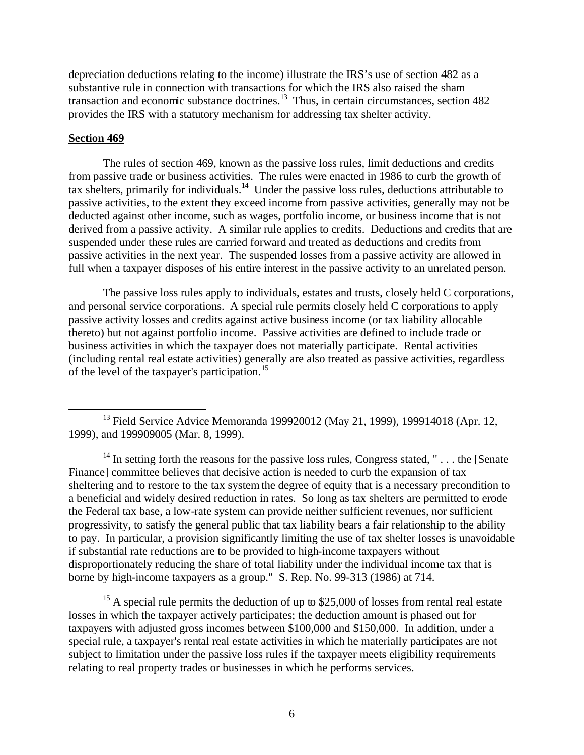depreciation deductions relating to the income) illustrate the IRS's use of section 482 as a substantive rule in connection with transactions for which the IRS also raised the sham transaction and economic substance doctrines. $13$  Thus, in certain circumstances, section 482 provides the IRS with a statutory mechanism for addressing tax shelter activity.

# **Section 469**

1

The rules of section 469, known as the passive loss rules, limit deductions and credits from passive trade or business activities. The rules were enacted in 1986 to curb the growth of tax shelters, primarily for individuals.<sup>14</sup> Under the passive loss rules, deductions attributable to passive activities, to the extent they exceed income from passive activities, generally may not be deducted against other income, such as wages, portfolio income, or business income that is not derived from a passive activity. A similar rule applies to credits. Deductions and credits that are suspended under these rules are carried forward and treated as deductions and credits from passive activities in the next year. The suspended losses from a passive activity are allowed in full when a taxpayer disposes of his entire interest in the passive activity to an unrelated person.

The passive loss rules apply to individuals, estates and trusts, closely held C corporations, and personal service corporations. A special rule permits closely held C corporations to apply passive activity losses and credits against active business income (or tax liability allocable thereto) but not against portfolio income. Passive activities are defined to include trade or business activities in which the taxpayer does not materially participate. Rental activities (including rental real estate activities) generally are also treated as passive activities, regardless of the level of the taxpayer's participation.<sup>15</sup>

 $15$  A special rule permits the deduction of up to \$25,000 of losses from rental real estate losses in which the taxpayer actively participates; the deduction amount is phased out for taxpayers with adjusted gross incomes between \$100,000 and \$150,000. In addition, under a special rule, a taxpayer's rental real estate activities in which he materially participates are not subject to limitation under the passive loss rules if the taxpayer meets eligibility requirements relating to real property trades or businesses in which he performs services.

<sup>&</sup>lt;sup>13</sup> Field Service Advice Memoranda 199920012 (May 21, 1999), 199914018 (Apr. 12, 1999), and 199909005 (Mar. 8, 1999).

<sup>&</sup>lt;sup>14</sup> In setting forth the reasons for the passive loss rules, Congress stated, " . . . the [Senate Finance] committee believes that decisive action is needed to curb the expansion of tax sheltering and to restore to the tax system the degree of equity that is a necessary precondition to a beneficial and widely desired reduction in rates. So long as tax shelters are permitted to erode the Federal tax base, a low-rate system can provide neither sufficient revenues, nor sufficient progressivity, to satisfy the general public that tax liability bears a fair relationship to the ability to pay. In particular, a provision significantly limiting the use of tax shelter losses is unavoidable if substantial rate reductions are to be provided to high-income taxpayers without disproportionately reducing the share of total liability under the individual income tax that is borne by high-income taxpayers as a group." S. Rep. No. 99-313 (1986) at 714.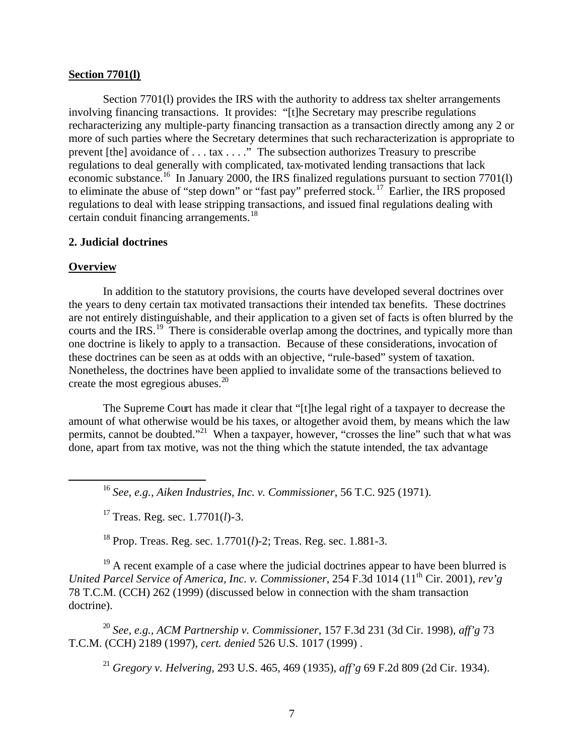### **Section 7701(l)**

Section 7701(1) provides the IRS with the authority to address tax shelter arrangements involving financing transactions. It provides: "[t]he Secretary may prescribe regulations recharacterizing any multiple-party financing transaction as a transaction directly among any 2 or more of such parties where the Secretary determines that such recharacterization is appropriate to prevent [the] avoidance of . . . tax . . . ." The subsection authorizes Treasury to prescribe regulations to deal generally with complicated, tax-motivated lending transactions that lack economic substance.<sup>16</sup> In January 2000, the IRS finalized regulations pursuant to section 7701(l) to eliminate the abuse of "step down" or "fast pay" preferred stock.<sup>17</sup> Earlier, the IRS proposed regulations to deal with lease stripping transactions, and issued final regulations dealing with certain conduit financing arrangements.<sup>18</sup>

# **2. Judicial doctrines**

# **Overview**

 $\overline{a}$ 

In addition to the statutory provisions, the courts have developed several doctrines over the years to deny certain tax motivated transactions their intended tax benefits. These doctrines are not entirely distinguishable, and their application to a given set of facts is often blurred by the courts and the IRS.<sup>19</sup> There is considerable overlap among the doctrines, and typically more than one doctrine is likely to apply to a transaction. Because of these considerations, invocation of these doctrines can be seen as at odds with an objective, "rule-based" system of taxation. Nonetheless, the doctrines have been applied to invalidate some of the transactions believed to create the most egregious abuses. $20$ 

The Supreme Court has made it clear that "[t]he legal right of a taxpayer to decrease the amount of what otherwise would be his taxes, or altogether avoid them, by means which the law permits, cannot be doubted."<sup>21</sup> When a taxpayer, however, "crosses the line" such that what was done, apart from tax motive, was not the thing which the statute intended, the tax advantage

<sup>16</sup> *See*, *e.g., Aiken Industries, Inc. v. Commissioner*, 56 T.C. 925 (1971).

<sup>17</sup> Treas. Reg. sec. 1.7701(*l*)-3.

<sup>18</sup> Prop. Treas. Reg. sec. 1.7701(*l*)-2; Treas. Reg. sec. 1.881-3.

 $19$  A recent example of a case where the judicial doctrines appear to have been blurred is *United Parcel Service of America, Inc. v. Commissioner, 254 F.3d 1014 (11<sup>th</sup> Cir. 2001), <i>rev'g* 78 T.C.M. (CCH) 262 (1999) (discussed below in connection with the sham transaction doctrine).

<sup>20</sup> *See, e.g., ACM Partnership v. Commissioner*, 157 F.3d 231 (3d Cir. 1998), *aff'g* 73 T.C.M. (CCH) 2189 (1997), *cert. denied* 526 U.S. 1017 (1999) .

<sup>21</sup> *Gregory v. Helvering*, 293 U.S. 465, 469 (1935), *aff'g* 69 F.2d 809 (2d Cir. 1934).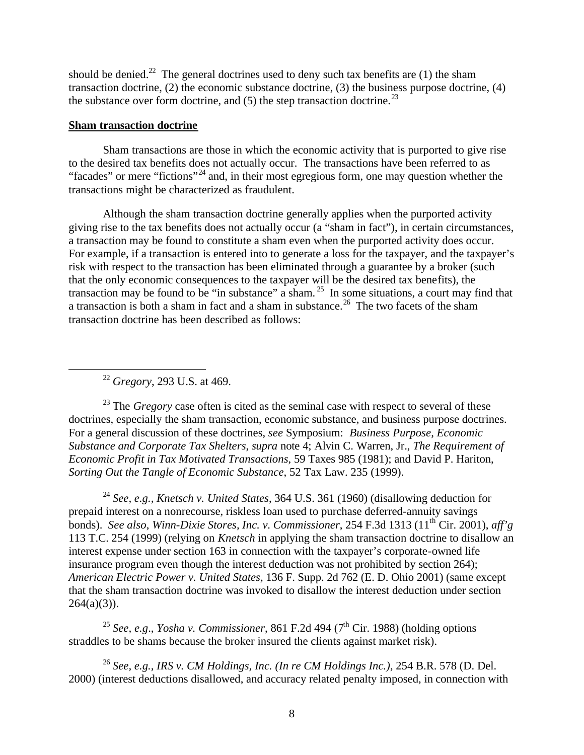should be denied.<sup>22</sup> The general doctrines used to deny such tax benefits are  $(1)$  the sham transaction doctrine, (2) the economic substance doctrine, (3) the business purpose doctrine, (4) the substance over form doctrine, and  $(5)$  the step transaction doctrine.<sup>23</sup>

# **Sham transaction doctrine**

Sham transactions are those in which the economic activity that is purported to give rise to the desired tax benefits does not actually occur. The transactions have been referred to as "facades" or mere "fictions"<sup>24</sup> and, in their most egregious form, one may question whether the transactions might be characterized as fraudulent.

Although the sham transaction doctrine generally applies when the purported activity giving rise to the tax benefits does not actually occur (a "sham in fact"), in certain circumstances, a transaction may be found to constitute a sham even when the purported activity does occur. For example, if a transaction is entered into to generate a loss for the taxpayer, and the taxpayer's risk with respect to the transaction has been eliminated through a guarantee by a broker (such that the only economic consequences to the taxpayer will be the desired tax benefits), the transaction may be found to be "in substance" a sham. <sup>25</sup> In some situations, a court may find that a transaction is both a sham in fact and a sham in substance.<sup>26</sup> The two facets of the sham transaction doctrine has been described as follows:

<sup>22</sup> *Gregory*, 293 U.S. at 469.

 $\overline{a}$ 

<sup>23</sup> The *Gregory* case often is cited as the seminal case with respect to several of these doctrines, especially the sham transaction, economic substance, and business purpose doctrines. For a general discussion of these doctrines, *see* Symposium: *Business Purpose, Economic Substance and Corporate Tax Shelters*, *supra* note 4; Alvin C. Warren, Jr., *The Requirement of Economic Profit in Tax Motivated Transactions*, 59 Taxes 985 (1981); and David P. Hariton, *Sorting Out the Tangle of Economic Substance*, 52 Tax Law. 235 (1999).

<sup>24</sup> *See, e.g., Knetsch v. United States*, 364 U.S. 361 (1960) (disallowing deduction for prepaid interest on a nonrecourse, riskless loan used to purchase deferred-annuity savings bonds). *See also*, *Winn-Dixie Stores, Inc. v. Commissioner*, 254 F.3d 1313 (11th Cir. 2001), *aff'g* 113 T.C. 254 (1999) (relying on *Knetsch* in applying the sham transaction doctrine to disallow an interest expense under section 163 in connection with the taxpayer's corporate-owned life insurance program even though the interest deduction was not prohibited by section 264); *American Electric Power v. United States,* 136 F. Supp. 2d 762 (E. D. Ohio 2001) (same except that the sham transaction doctrine was invoked to disallow the interest deduction under section  $264(a)(3)$ ).

<sup>25</sup> *See, e.g., Yosha v. Commissioner, 861 F.2d 494 (7<sup>th</sup> Cir. 1988) (holding options* straddles to be shams because the broker insured the clients against market risk).

<sup>26</sup> *See, e.g., IRS v. CM Holdings, Inc. (In re CM Holdings Inc.),* 254 B.R. 578 (D. Del. 2000) (interest deductions disallowed, and accuracy related penalty imposed, in connection with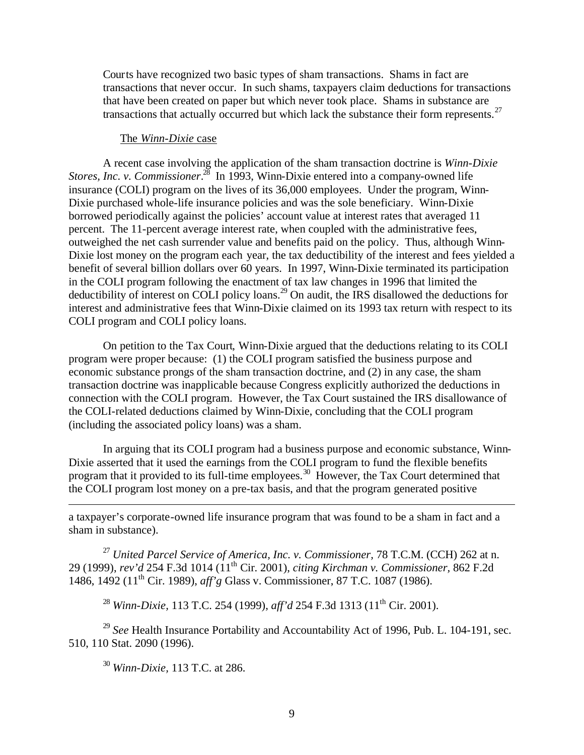Courts have recognized two basic types of sham transactions. Shams in fact are transactions that never occur. In such shams, taxpayers claim deductions for transactions that have been created on paper but which never took place. Shams in substance are transactions that actually occurred but which lack the substance their form represents.<sup>27</sup>

### The *Winn-Dixie* case

A recent case involving the application of the sham transaction doctrine is *Winn-Dixie Stores, Inc. v. Commissioner.*<sup>28</sup> In 1993, Winn-Dixie entered into a company-owned life insurance (COLI) program on the lives of its 36,000 employees. Under the program, Winn-Dixie purchased whole-life insurance policies and was the sole beneficiary. Winn-Dixie borrowed periodically against the policies' account value at interest rates that averaged 11 percent. The 11-percent average interest rate, when coupled with the administrative fees, outweighed the net cash surrender value and benefits paid on the policy. Thus, although Winn-Dixie lost money on the program each year, the tax deductibility of the interest and fees yielded a benefit of several billion dollars over 60 years. In 1997, Winn-Dixie terminated its participation in the COLI program following the enactment of tax law changes in 1996 that limited the deductibility of interest on COLI policy loans.<sup>29</sup> On audit, the IRS disallowed the deductions for interest and administrative fees that Winn-Dixie claimed on its 1993 tax return with respect to its COLI program and COLI policy loans.

On petition to the Tax Court, Winn-Dixie argued that the deductions relating to its COLI program were proper because: (1) the COLI program satisfied the business purpose and economic substance prongs of the sham transaction doctrine, and (2) in any case, the sham transaction doctrine was inapplicable because Congress explicitly authorized the deductions in connection with the COLI program. However, the Tax Court sustained the IRS disallowance of the COLI-related deductions claimed by Winn-Dixie, concluding that the COLI program (including the associated policy loans) was a sham.

In arguing that its COLI program had a business purpose and economic substance, Winn-Dixie asserted that it used the earnings from the COLI program to fund the flexible benefits program that it provided to its full-time employees.<sup>30</sup> However, the Tax Court determined that the COLI program lost money on a pre-tax basis, and that the program generated positive

a taxpayer's corporate-owned life insurance program that was found to be a sham in fact and a sham in substance).

<sup>27</sup> *United Parcel Service of America, Inc. v. Commissioner,* 78 T.C.M. (CCH) 262 at n. 29 (1999), *rev'd* 254 F.3d 1014 (11th Cir. 2001), *citing Kirchman v. Commissioner,* 862 F.2d 1486, 1492 (11th Cir. 1989), *aff'g* Glass v. Commissioner, 87 T.C. 1087 (1986).

<sup>28</sup> *Winn-Dixie*, 113 T.C. 254 (1999), *aff'd* 254 F.3d 1313 (11<sup>th</sup> Cir. 2001).

<sup>29</sup> See Health Insurance Portability and Accountability Act of 1996, Pub. L. 104-191, sec. 510, 110 Stat. 2090 (1996).

<sup>30</sup> *Winn-Dixie,* 113 T.C. at 286.

 $\overline{a}$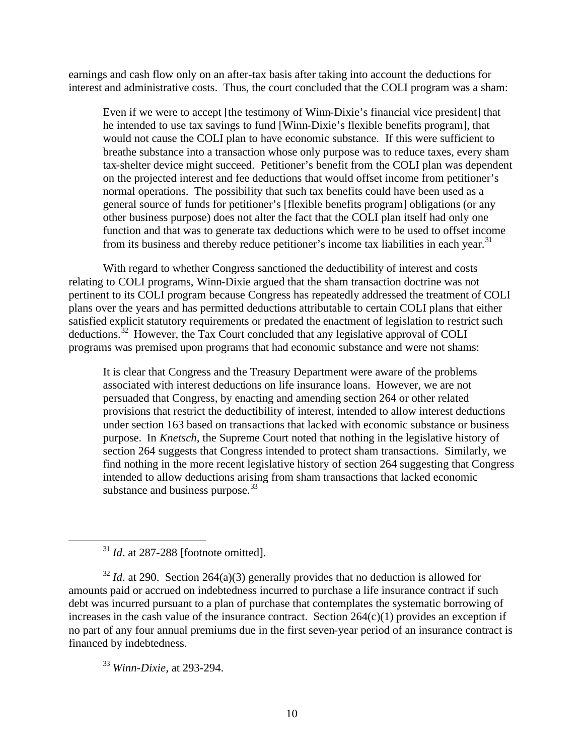earnings and cash flow only on an after-tax basis after taking into account the deductions for interest and administrative costs. Thus, the court concluded that the COLI program was a sham:

Even if we were to accept [the testimony of Winn-Dixie's financial vice president] that he intended to use tax savings to fund [Winn-Dixie's flexible benefits program], that would not cause the COLI plan to have economic substance. If this were sufficient to breathe substance into a transaction whose only purpose was to reduce taxes, every sham tax-shelter device might succeed. Petitioner's benefit from the COLI plan was dependent on the projected interest and fee deductions that would offset income from petitioner's normal operations. The possibility that such tax benefits could have been used as a general source of funds for petitioner's [flexible benefits program] obligations (or any other business purpose) does not alter the fact that the COLI plan itself had only one function and that was to generate tax deductions which were to be used to offset income from its business and thereby reduce petitioner's income tax liabilities in each year.<sup>31</sup>

With regard to whether Congress sanctioned the deductibility of interest and costs relating to COLI programs, Winn-Dixie argued that the sham transaction doctrine was not pertinent to its COLI program because Congress has repeatedly addressed the treatment of COLI plans over the years and has permitted deductions attributable to certain COLI plans that either satisfied explicit statutory requirements or predated the enactment of legislation to restrict such deductions.<sup>32</sup> However, the Tax Court concluded that any legislative approval of COLI programs was premised upon programs that had economic substance and were not shams:

It is clear that Congress and the Treasury Department were aware of the problems associated with interest deductions on life insurance loans. However, we are not persuaded that Congress, by enacting and amending section 264 or other related provisions that restrict the deductibility of interest, intended to allow interest deductions under section 163 based on transactions that lacked with economic substance or business purpose. In *Knetsch*, the Supreme Court noted that nothing in the legislative history of section 264 suggests that Congress intended to protect sham transactions. Similarly, we find nothing in the more recent legislative history of section 264 suggesting that Congress intended to allow deductions arising from sham transactions that lacked economic substance and business purpose.  $33$ 

 $\overline{a}$ 

 $32$  *Id.* at 290. Section 264(a)(3) generally provides that no deduction is allowed for amounts paid or accrued on indebtedness incurred to purchase a life insurance contract if such debt was incurred pursuant to a plan of purchase that contemplates the systematic borrowing of increases in the cash value of the insurance contract. Section 264(c)(1) provides an exception if no part of any four annual premiums due in the first seven-year period of an insurance contract is financed by indebtedness.

<sup>33</sup> *Winn-Dixie,* at 293-294.

<sup>&</sup>lt;sup>31</sup> *Id.* at 287-288 [footnote omitted].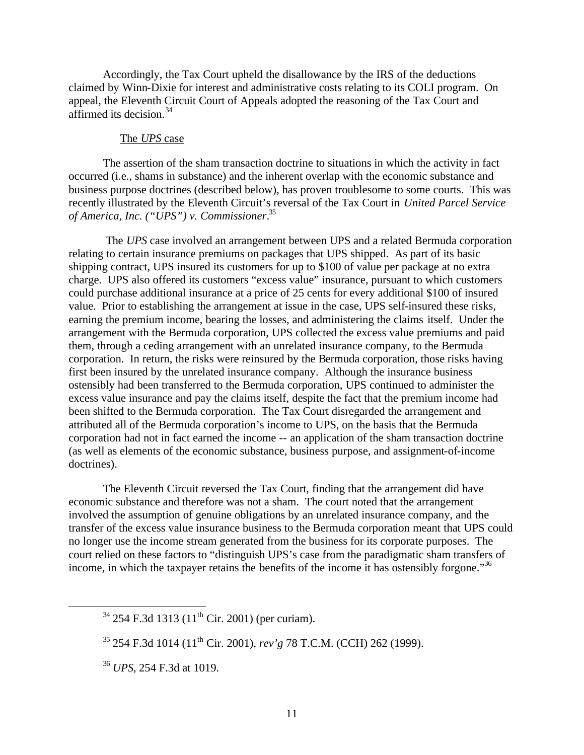Accordingly, the Tax Court upheld the disallowance by the IRS of the deductions claimed by Winn-Dixie for interest and administrative costs relating to its COLI program. On appeal, the Eleventh Circuit Court of Appeals adopted the reasoning of the Tax Court and affirmed its decision.<sup>34</sup>

#### The *UPS* case

The assertion of the sham transaction doctrine to situations in which the activity in fact occurred (i.e., shams in substance) and the inherent overlap with the economic substance and business purpose doctrines (described below), has proven troublesome to some courts. This was recently illustrated by the Eleventh Circuit's reversal of the Tax Court in *United Parcel Service of America, Inc. ("UPS") v. Commissioner*. 35

 The *UPS* case involved an arrangement between UPS and a related Bermuda corporation relating to certain insurance premiums on packages that UPS shipped. As part of its basic shipping contract, UPS insured its customers for up to \$100 of value per package at no extra charge. UPS also offered its customers "excess value" insurance, pursuant to which customers could purchase additional insurance at a price of 25 cents for every additional \$100 of insured value. Prior to establishing the arrangement at issue in the case, UPS self-insured these risks, earning the premium income, bearing the losses, and administering the claims itself. Under the arrangement with the Bermuda corporation, UPS collected the excess value premiums and paid them, through a ceding arrangement with an unrelated insurance company, to the Bermuda corporation. In return, the risks were reinsured by the Bermuda corporation, those risks having first been insured by the unrelated insurance company. Although the insurance business ostensibly had been transferred to the Bermuda corporation, UPS continued to administer the excess value insurance and pay the claims itself, despite the fact that the premium income had been shifted to the Bermuda corporation. The Tax Court disregarded the arrangement and attributed all of the Bermuda corporation's income to UPS, on the basis that the Bermuda corporation had not in fact earned the income -- an application of the sham transaction doctrine (as well as elements of the economic substance, business purpose, and assignment-of-income doctrines).

The Eleventh Circuit reversed the Tax Court, finding that the arrangement did have economic substance and therefore was not a sham. The court noted that the arrangement involved the assumption of genuine obligations by an unrelated insurance company, and the transfer of the excess value insurance business to the Bermuda corporation meant that UPS could no longer use the income stream generated from the business for its corporate purposes. The court relied on these factors to "distinguish UPS's case from the paradigmatic sham transfers of income, in which the taxpayer retains the benefits of the income it has ostensibly forgone."<sup>36</sup>

 $\overline{a}$ 

 $34$  254 F.3d 1313 (11<sup>th</sup> Cir. 2001) (per curiam).

<sup>35</sup> 254 F.3d 1014 (11th Cir. 2001), *rev'g* 78 T.C.M. (CCH) 262 (1999).

<sup>36</sup> *UPS,* 254 F.3d at 1019.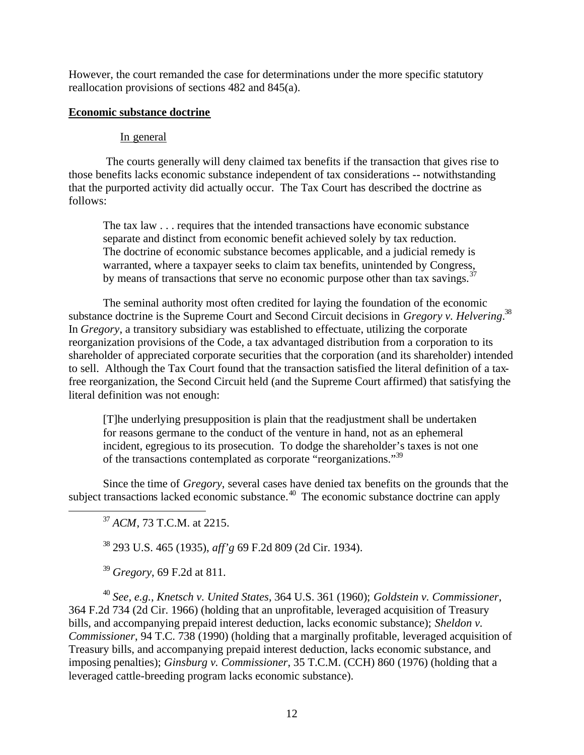However, the court remanded the case for determinations under the more specific statutory reallocation provisions of sections 482 and 845(a).

# **Economic substance doctrine**

# In general

 The courts generally will deny claimed tax benefits if the transaction that gives rise to those benefits lacks economic substance independent of tax considerations -- notwithstanding that the purported activity did actually occur. The Tax Court has described the doctrine as follows:

The tax law . . . requires that the intended transactions have economic substance separate and distinct from economic benefit achieved solely by tax reduction. The doctrine of economic substance becomes applicable, and a judicial remedy is warranted, where a taxpayer seeks to claim tax benefits, unintended by Congress, by means of transactions that serve no economic purpose other than tax savings.<sup>37</sup>

The seminal authority most often credited for laying the foundation of the economic substance doctrine is the Supreme Court and Second Circuit decisions in *Gregory v. Helvering*. 38 In *Gregory*, a transitory subsidiary was established to effectuate, utilizing the corporate reorganization provisions of the Code, a tax advantaged distribution from a corporation to its shareholder of appreciated corporate securities that the corporation (and its shareholder) intended to sell. Although the Tax Court found that the transaction satisfied the literal definition of a taxfree reorganization, the Second Circuit held (and the Supreme Court affirmed) that satisfying the literal definition was not enough:

[T]he underlying presupposition is plain that the readjustment shall be undertaken for reasons germane to the conduct of the venture in hand, not as an ephemeral incident, egregious to its prosecution. To dodge the shareholder's taxes is not one of the transactions contemplated as corporate "reorganizations."<sup>39</sup>

Since the time of *Gregory*, several cases have denied tax benefits on the grounds that the subject transactions lacked economic substance.<sup>40</sup> The economic substance doctrine can apply

 $\overline{a}$ 

<sup>38</sup> 293 U.S. 465 (1935), *aff'g* 69 F.2d 809 (2d Cir. 1934).

<sup>39</sup> *Gregory*, 69 F.2d at 811.

<sup>40</sup> *See, e.g.*, *Knetsch v. United States*, 364 U.S. 361 (1960); *Goldstein v. Commissioner*, 364 F.2d 734 (2d Cir. 1966) (holding that an unprofitable, leveraged acquisition of Treasury bills, and accompanying prepaid interest deduction, lacks economic substance); *Sheldon v. Commissioner*, 94 T.C. 738 (1990) (holding that a marginally profitable, leveraged acquisition of Treasury bills, and accompanying prepaid interest deduction, lacks economic substance, and imposing penalties); *Ginsburg v. Commissioner*, 35 T.C.M. (CCH) 860 (1976) (holding that a leveraged cattle-breeding program lacks economic substance).

<sup>37</sup> *ACM*, 73 T.C.M. at 2215.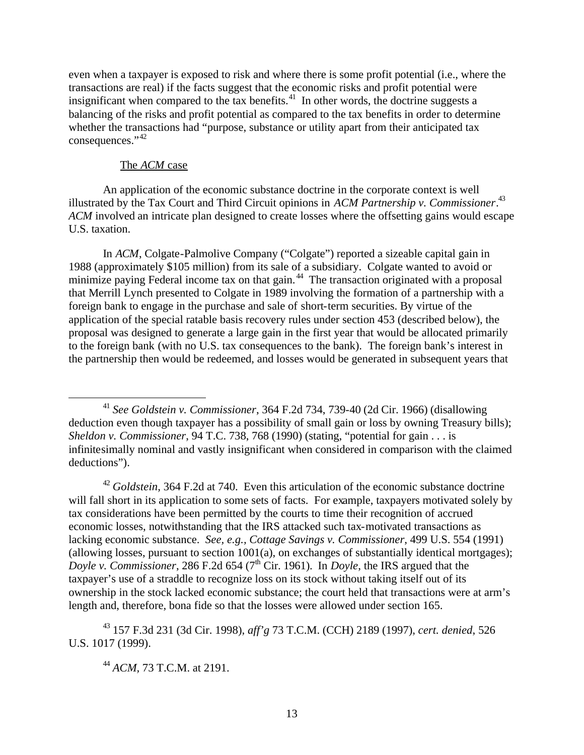even when a taxpayer is exposed to risk and where there is some profit potential (i.e., where the transactions are real) if the facts suggest that the economic risks and profit potential were insignificant when compared to the tax benefits.<sup>41</sup> In other words, the doctrine suggests a balancing of the risks and profit potential as compared to the tax benefits in order to determine whether the transactions had "purpose, substance or utility apart from their anticipated tax consequences."<sup>42</sup>

### The *ACM* case

 $\overline{a}$ 

An application of the economic substance doctrine in the corporate context is well illustrated by the Tax Court and Third Circuit opinions in *ACM Partnership v. Commissioner*. 43 *ACM* involved an intricate plan designed to create losses where the offsetting gains would escape U.S. taxation.

In *ACM*, Colgate-Palmolive Company ("Colgate") reported a sizeable capital gain in 1988 (approximately \$105 million) from its sale of a subsidiary. Colgate wanted to avoid or minimize paying Federal income tax on that gain.<sup>44</sup> The transaction originated with a proposal that Merrill Lynch presented to Colgate in 1989 involving the formation of a partnership with a foreign bank to engage in the purchase and sale of short-term securities. By virtue of the application of the special ratable basis recovery rules under section 453 (described below), the proposal was designed to generate a large gain in the first year that would be allocated primarily to the foreign bank (with no U.S. tax consequences to the bank). The foreign bank's interest in the partnership then would be redeemed, and losses would be generated in subsequent years that

<sup>42</sup> *Goldstein*, 364 F.2d at 740. Even this articulation of the economic substance doctrine will fall short in its application to some sets of facts. For example, taxpayers motivated solely by tax considerations have been permitted by the courts to time their recognition of accrued economic losses, notwithstanding that the IRS attacked such tax-motivated transactions as lacking economic substance. *See, e.g., Cottage Savings v. Commissioner*, 499 U.S. 554 (1991) (allowing losses, pursuant to section 1001(a), on exchanges of substantially identical mortgages); *Doyle v. Commissioner*, 286 F.2d 654 (7<sup>th</sup> Cir. 1961). In *Doyle*, the IRS argued that the taxpayer's use of a straddle to recognize loss on its stock without taking itself out of its ownership in the stock lacked economic substance; the court held that transactions were at arm's length and, therefore, bona fide so that the losses were allowed under section 165.

<sup>43</sup> 157 F.3d 231 (3d Cir. 1998), *aff'g* 73 T.C.M. (CCH) 2189 (1997), *cert. denied*, 526 U.S. 1017 (1999).

<sup>41</sup> *See Goldstein v. Commissioner*, 364 F.2d 734, 739-40 (2d Cir. 1966) (disallowing deduction even though taxpayer has a possibility of small gain or loss by owning Treasury bills); *Sheldon v. Commissioner*, 94 T.C. 738, 768 (1990) (stating, "potential for gain . . . is infinitesimally nominal and vastly insignificant when considered in comparison with the claimed deductions").

<sup>44</sup> *ACM,* 73 T.C.M. at 2191.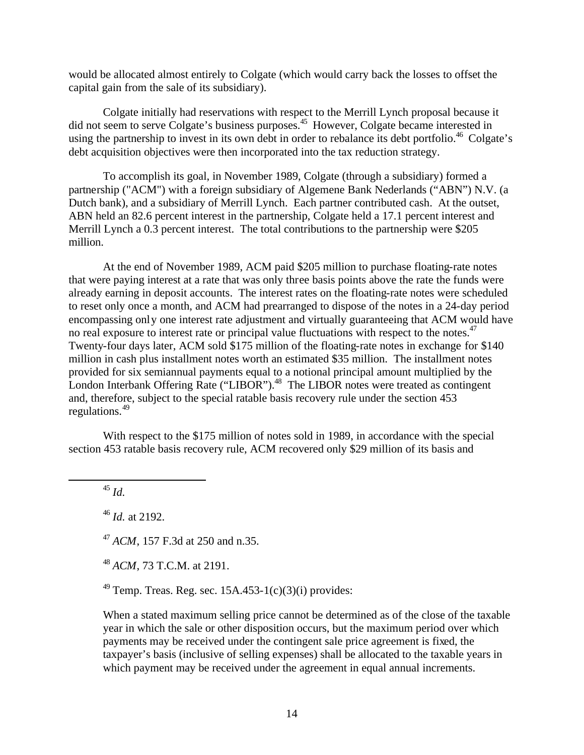would be allocated almost entirely to Colgate (which would carry back the losses to offset the capital gain from the sale of its subsidiary).

Colgate initially had reservations with respect to the Merrill Lynch proposal because it did not seem to serve Colgate's business purposes.<sup>45</sup> However, Colgate became interested in using the partnership to invest in its own debt in order to rebalance its debt portfolio.<sup>46</sup> Colgate's debt acquisition objectives were then incorporated into the tax reduction strategy.

To accomplish its goal, in November 1989, Colgate (through a subsidiary) formed a partnership ("ACM") with a foreign subsidiary of Algemene Bank Nederlands ("ABN") N.V. (a Dutch bank), and a subsidiary of Merrill Lynch. Each partner contributed cash. At the outset, ABN held an 82.6 percent interest in the partnership, Colgate held a 17.1 percent interest and Merrill Lynch a 0.3 percent interest. The total contributions to the partnership were \$205 million.

At the end of November 1989, ACM paid \$205 million to purchase floating-rate notes that were paying interest at a rate that was only three basis points above the rate the funds were already earning in deposit accounts. The interest rates on the floating-rate notes were scheduled to reset only once a month, and ACM had prearranged to dispose of the notes in a 24-day period encompassing only one interest rate adjustment and virtually guaranteeing that ACM would have no real exposure to interest rate or principal value fluctuations with respect to the notes.<sup>47</sup> Twenty-four days later, ACM sold \$175 million of the floating-rate notes in exchange for \$140 million in cash plus installment notes worth an estimated \$35 million. The installment notes provided for six semiannual payments equal to a notional principal amount multiplied by the London Interbank Offering Rate ("LIBOR").<sup>48</sup> The LIBOR notes were treated as contingent and, therefore, subject to the special ratable basis recovery rule under the section 453 regulations.<sup>49</sup>

With respect to the \$175 million of notes sold in 1989, in accordance with the special section 453 ratable basis recovery rule, ACM recovered only \$29 million of its basis and

<sup>45</sup> *Id.*

 $\overline{a}$ 

<sup>46</sup> *Id.* at 2192.

<sup>47</sup> *ACM*, 157 F.3d at 250 and n.35.

<sup>48</sup> *ACM*, 73 T.C.M. at 2191.

<sup>49</sup> Temp. Treas. Reg. sec.  $15A.453-1(c)(3)(i)$  provides:

When a stated maximum selling price cannot be determined as of the close of the taxable year in which the sale or other disposition occurs, but the maximum period over which payments may be received under the contingent sale price agreement is fixed, the taxpayer's basis (inclusive of selling expenses) shall be allocated to the taxable years in which payment may be received under the agreement in equal annual increments.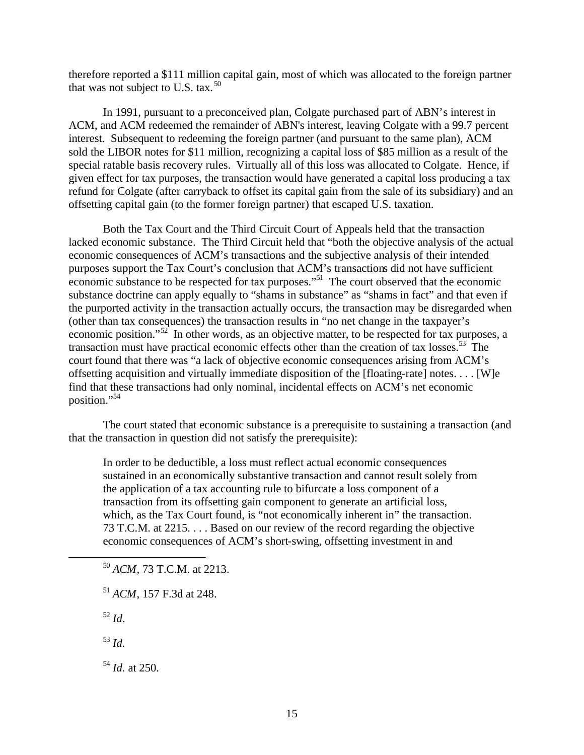therefore reported a \$111 million capital gain, most of which was allocated to the foreign partner that was not subject to U.S. tax.  $50$ 

In 1991, pursuant to a preconceived plan, Colgate purchased part of ABN's interest in ACM, and ACM redeemed the remainder of ABN's interest, leaving Colgate with a 99.7 percent interest. Subsequent to redeeming the foreign partner (and pursuant to the same plan), ACM sold the LIBOR notes for \$11 million, recognizing a capital loss of \$85 million as a result of the special ratable basis recovery rules. Virtually all of this loss was allocated to Colgate. Hence, if given effect for tax purposes, the transaction would have generated a capital loss producing a tax refund for Colgate (after carryback to offset its capital gain from the sale of its subsidiary) and an offsetting capital gain (to the former foreign partner) that escaped U.S. taxation.

Both the Tax Court and the Third Circuit Court of Appeals held that the transaction lacked economic substance. The Third Circuit held that "both the objective analysis of the actual economic consequences of ACM's transactions and the subjective analysis of their intended purposes support the Tax Court's conclusion that ACM's transactions did not have sufficient economic substance to be respected for tax purposes."<sup>51</sup> The court observed that the economic substance doctrine can apply equally to "shams in substance" as "shams in fact" and that even if the purported activity in the transaction actually occurs, the transaction may be disregarded when (other than tax consequences) the transaction results in "no net change in the taxpayer's economic position."<sup>52</sup> In other words, as an objective matter, to be respected for tax purposes, a transaction must have practical economic effects other than the creation of tax losses.<sup>53</sup> The court found that there was "a lack of objective economic consequences arising from ACM's offsetting acquisition and virtually immediate disposition of the [floating-rate] notes. . . . [W]e find that these transactions had only nominal, incidental effects on ACM's net economic position."<sup>54</sup>

The court stated that economic substance is a prerequisite to sustaining a transaction (and that the transaction in question did not satisfy the prerequisite):

In order to be deductible, a loss must reflect actual economic consequences sustained in an economically substantive transaction and cannot result solely from the application of a tax accounting rule to bifurcate a loss component of a transaction from its offsetting gain component to generate an artificial loss, which, as the Tax Court found, is "not economically inherent in" the transaction. 73 T.C.M. at 2215. . . . Based on our review of the record regarding the objective economic consequences of ACM's short-swing, offsetting investment in and

<sup>50</sup> *ACM*, 73 T.C.M. at 2213.

<sup>52</sup> *Id*.

 $\overline{a}$ 

<sup>53</sup> *Id.*

<sup>54</sup> *Id.* at 250.

<sup>51</sup> *ACM*, 157 F.3d at 248.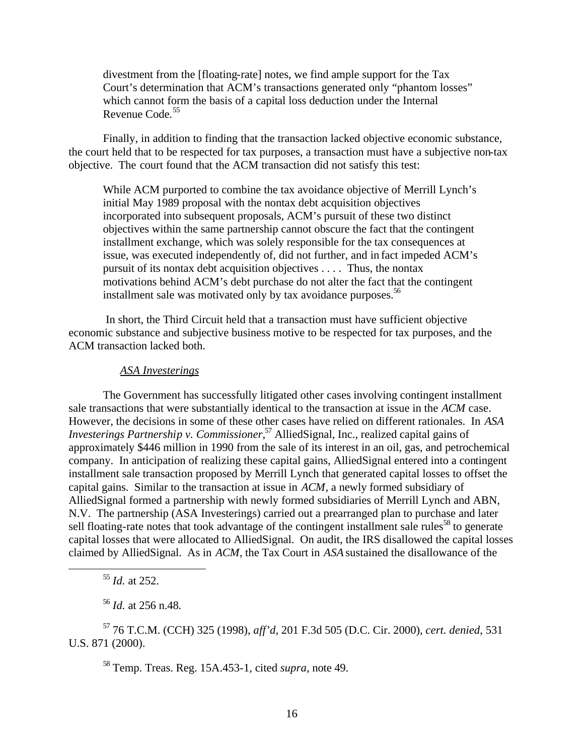divestment from the [floating-rate] notes, we find ample support for the Tax Court's determination that ACM's transactions generated only "phantom losses" which cannot form the basis of a capital loss deduction under the Internal Revenue Code.<sup>55</sup>

Finally, in addition to finding that the transaction lacked objective economic substance, the court held that to be respected for tax purposes, a transaction must have a subjective non-tax objective. The court found that the ACM transaction did not satisfy this test:

While ACM purported to combine the tax avoidance objective of Merrill Lynch's initial May 1989 proposal with the nontax debt acquisition objectives incorporated into subsequent proposals, ACM's pursuit of these two distinct objectives within the same partnership cannot obscure the fact that the contingent installment exchange, which was solely responsible for the tax consequences at issue, was executed independently of, did not further, and in fact impeded ACM's pursuit of its nontax debt acquisition objectives . . . . Thus, the nontax motivations behind ACM's debt purchase do not alter the fact that the contingent installment sale was motivated only by tax avoidance purposes.<sup>56</sup>

 In short, the Third Circuit held that a transaction must have sufficient objective economic substance and subjective business motive to be respected for tax purposes, and the ACM transaction lacked both.

#### *ASA Investerings*

The Government has successfully litigated other cases involving contingent installment sale transactions that were substantially identical to the transaction at issue in the *ACM* case. However, the decisions in some of these other cases have relied on different rationales. In *ASA Investerings Partnership v. Commissioner*, <sup>57</sup> AlliedSignal, Inc., realized capital gains of approximately \$446 million in 1990 from the sale of its interest in an oil, gas, and petrochemical company. In anticipation of realizing these capital gains, AlliedSignal entered into a contingent installment sale transaction proposed by Merrill Lynch that generated capital losses to offset the capital gains. Similar to the transaction at issue in *ACM*, a newly formed subsidiary of AlliedSignal formed a partnership with newly formed subsidiaries of Merrill Lynch and ABN, N.V. The partnership (ASA Investerings) carried out a prearranged plan to purchase and later sell floating-rate notes that took advantage of the contingent installment sale rules<sup>58</sup> to generate capital losses that were allocated to AlliedSignal. On audit, the IRS disallowed the capital losses claimed by AlliedSignal. As in *ACM*, the Tax Court in *ASA* sustained the disallowance of the

<sup>55</sup> *Id.* at 252.

1

<sup>56</sup> *Id.* at 256 n.48.

<sup>57</sup> 76 T.C.M. (CCH) 325 (1998), *aff'd*, 201 F.3d 505 (D.C. Cir. 2000), *cert. denied*, 531 U.S. 871 (2000).

<sup>58</sup> Temp. Treas. Reg. 15A.453-1, cited *supra,* note 49.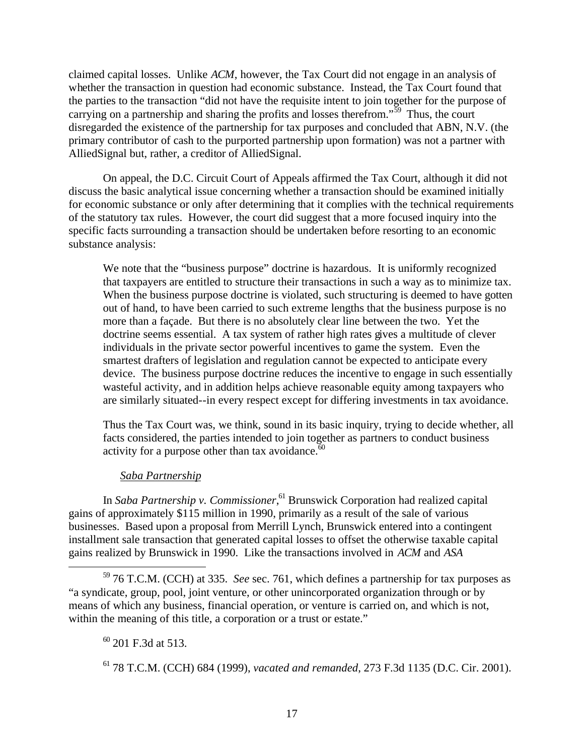claimed capital losses. Unlike *ACM*, however, the Tax Court did not engage in an analysis of whether the transaction in question had economic substance. Instead, the Tax Court found that the parties to the transaction "did not have the requisite intent to join together for the purpose of carrying on a partnership and sharing the profits and losses therefrom."<sup>59</sup> Thus, the court disregarded the existence of the partnership for tax purposes and concluded that ABN, N.V. (the primary contributor of cash to the purported partnership upon formation) was not a partner with AlliedSignal but, rather, a creditor of AlliedSignal.

On appeal, the D.C. Circuit Court of Appeals affirmed the Tax Court, although it did not discuss the basic analytical issue concerning whether a transaction should be examined initially for economic substance or only after determining that it complies with the technical requirements of the statutory tax rules. However, the court did suggest that a more focused inquiry into the specific facts surrounding a transaction should be undertaken before resorting to an economic substance analysis:

We note that the "business purpose" doctrine is hazardous. It is uniformly recognized that taxpayers are entitled to structure their transactions in such a way as to minimize tax. When the business purpose doctrine is violated, such structuring is deemed to have gotten out of hand, to have been carried to such extreme lengths that the business purpose is no more than a façade. But there is no absolutely clear line between the two. Yet the doctrine seems essential. A tax system of rather high rates gives a multitude of clever individuals in the private sector powerful incentives to game the system. Even the smartest drafters of legislation and regulation cannot be expected to anticipate every device. The business purpose doctrine reduces the incentive to engage in such essentially wasteful activity, and in addition helps achieve reasonable equity among taxpayers who are similarly situated--in every respect except for differing investments in tax avoidance.

Thus the Tax Court was, we think, sound in its basic inquiry, trying to decide whether, all facts considered, the parties intended to join together as partners to conduct business activity for a purpose other than tax avoidance. $60$ 

# *Saba Partnership*

In *Saba Partnership v. Commissioner*, <sup>61</sup> Brunswick Corporation had realized capital gains of approximately \$115 million in 1990, primarily as a result of the sale of various businesses. Based upon a proposal from Merrill Lynch, Brunswick entered into a contingent installment sale transaction that generated capital losses to offset the otherwise taxable capital gains realized by Brunswick in 1990. Like the transactions involved in *ACM* and *ASA* 

 $^{60}$  201 F.3d at 513.

 $\overline{a}$ 

<sup>61</sup> 78 T.C.M. (CCH) 684 (1999), *vacated and remanded*, 273 F.3d 1135 (D.C. Cir. 2001).

<sup>59</sup> 76 T.C.M. (CCH) at 335. *See* sec. 761, which defines a partnership for tax purposes as "a syndicate, group, pool, joint venture, or other unincorporated organization through or by means of which any business, financial operation, or venture is carried on, and which is not, within the meaning of this title, a corporation or a trust or estate."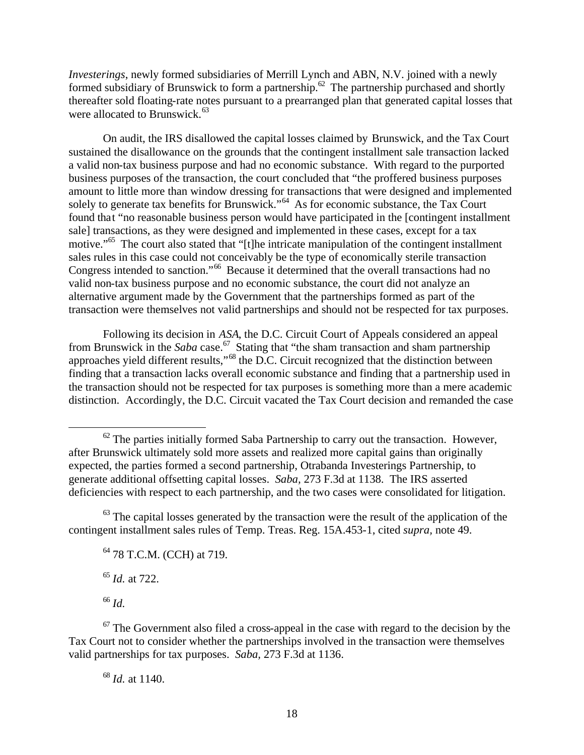*Investerings*, newly formed subsidiaries of Merrill Lynch and ABN, N.V. joined with a newly formed subsidiary of Brunswick to form a partnership.<sup>62</sup> The partnership purchased and shortly thereafter sold floating-rate notes pursuant to a prearranged plan that generated capital losses that were allocated to Brunswick. $63$ 

On audit, the IRS disallowed the capital losses claimed by Brunswick, and the Tax Court sustained the disallowance on the grounds that the contingent installment sale transaction lacked a valid non-tax business purpose and had no economic substance. With regard to the purported business purposes of the transaction, the court concluded that "the proffered business purposes amount to little more than window dressing for transactions that were designed and implemented solely to generate tax benefits for Brunswick."<sup>64</sup> As for economic substance, the Tax Court found that "no reasonable business person would have participated in the [contingent installment sale] transactions, as they were designed and implemented in these cases, except for a tax motive."<sup>65</sup> The court also stated that "[t]he intricate manipulation of the contingent installment sales rules in this case could not conceivably be the type of economically sterile transaction Congress intended to sanction."<sup>66</sup> Because it determined that the overall transactions had no valid non-tax business purpose and no economic substance, the court did not analyze an alternative argument made by the Government that the partnerships formed as part of the transaction were themselves not valid partnerships and should not be respected for tax purposes.

Following its decision in *ASA*, the D.C. Circuit Court of Appeals considered an appeal from Brunswick in the *Saba* case.<sup>67</sup> Stating that "the sham transaction and sham partnership approaches yield different results,"<sup>68</sup> the D.C. Circuit recognized that the distinction between finding that a transaction lacks overall economic substance and finding that a partnership used in the transaction should not be respected for tax purposes is something more than a mere academic distinction. Accordingly, the D.C. Circuit vacated the Tax Court decision and remanded the case

 $63$  The capital losses generated by the transaction were the result of the application of the contingent installment sales rules of Temp. Treas. Reg. 15A.453-1, cited *supra,* note 49.

<sup>65</sup> *Id.* at 722.

<sup>66</sup> *Id.*

1

 $62$  The parties initially formed Saba Partnership to carry out the transaction. However, after Brunswick ultimately sold more assets and realized more capital gains than originally expected, the parties formed a second partnership, Otrabanda Investerings Partnership, to generate additional offsetting capital losses. *Saba,* 273 F.3d at 1138. The IRS asserted deficiencies with respect to each partnership, and the two cases were consolidated for litigation.

<sup>&</sup>lt;sup>64</sup> 78 T.C.M. (CCH) at 719.

 $67$  The Government also filed a cross-appeal in the case with regard to the decision by the Tax Court not to consider whether the partnerships involved in the transaction were themselves valid partnerships for tax purposes. *Saba,* 273 F.3d at 1136.

<sup>68</sup> *Id.* at 1140.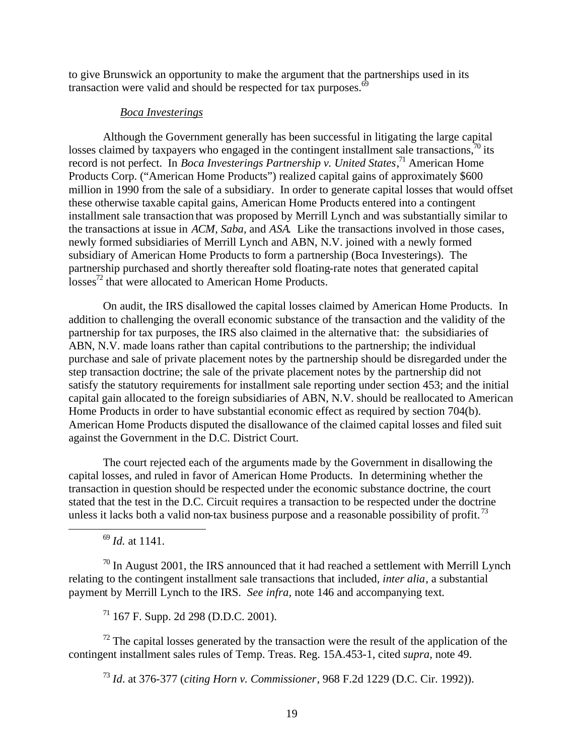to give Brunswick an opportunity to make the argument that the partnerships used in its transaction were valid and should be respected for tax purposes. $69$ 

#### *Boca Investerings*

Although the Government generally has been successful in litigating the large capital losses claimed by taxpayers who engaged in the contingent installment sale transactions,  $\frac{1}{10}$  its record is not perfect. In *Boca Investerings Partnership v. United States*<sup>71</sup> American Home Products Corp. ("American Home Products") realized capital gains of approximately \$600 million in 1990 from the sale of a subsidiary. In order to generate capital losses that would offset these otherwise taxable capital gains, American Home Products entered into a contingent installment sale transaction that was proposed by Merrill Lynch and was substantially similar to the transactions at issue in *ACM*, *Saba*, and *ASA*. Like the transactions involved in those cases, newly formed subsidiaries of Merrill Lynch and ABN, N.V. joined with a newly formed subsidiary of American Home Products to form a partnership (Boca Investerings). The partnership purchased and shortly thereafter sold floating-rate notes that generated capital  $losses<sup>72</sup>$  that were allocated to American Home Products.

On audit, the IRS disallowed the capital losses claimed by American Home Products. In addition to challenging the overall economic substance of the transaction and the validity of the partnership for tax purposes, the IRS also claimed in the alternative that: the subsidiaries of ABN, N.V. made loans rather than capital contributions to the partnership; the individual purchase and sale of private placement notes by the partnership should be disregarded under the step transaction doctrine; the sale of the private placement notes by the partnership did not satisfy the statutory requirements for installment sale reporting under section 453; and the initial capital gain allocated to the foreign subsidiaries of ABN, N.V. should be reallocated to American Home Products in order to have substantial economic effect as required by section 704(b). American Home Products disputed the disallowance of the claimed capital losses and filed suit against the Government in the D.C. District Court.

The court rejected each of the arguments made by the Government in disallowing the capital losses, and ruled in favor of American Home Products. In determining whether the transaction in question should be respected under the economic substance doctrine, the court stated that the test in the D.C. Circuit requires a transaction to be respected under the doctrine unless it lacks both a valid non-tax business purpose and a reasonable possibility of profit.<sup>73</sup>

<sup>69</sup> *Id.* at 1141.

 $\overline{a}$ 

 $\frac{70}{10}$  In August 2001, the IRS announced that it had reached a settlement with Merrill Lynch relating to the contingent installment sale transactions that included, *inter alia*, a substantial payment by Merrill Lynch to the IRS. *See infra,* note 146 and accompanying text.

 $71$  167 F. Supp. 2d 298 (D.D.C. 2001).

 $72$  The capital losses generated by the transaction were the result of the application of the contingent installment sales rules of Temp. Treas. Reg. 15A.453-1, cited *supra,* note 49.

<sup>73</sup> *Id*. at 376-377 (*citing Horn v. Commissioner*, 968 F.2d 1229 (D.C. Cir. 1992)).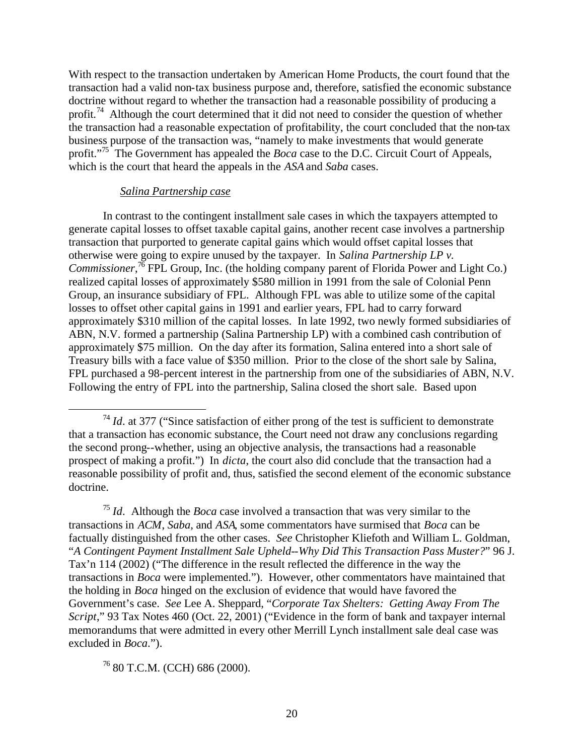With respect to the transaction undertaken by American Home Products, the court found that the transaction had a valid non-tax business purpose and, therefore, satisfied the economic substance doctrine without regard to whether the transaction had a reasonable possibility of producing a profit.<sup>74</sup> Although the court determined that it did not need to consider the question of whether the transaction had a reasonable expectation of profitability, the court concluded that the non-tax business purpose of the transaction was, "namely to make investments that would generate profit."<sup>75</sup> The Government has appealed the *Boca* case to the D.C. Circuit Court of Appeals, which is the court that heard the appeals in the *ASA* and *Saba* cases.

#### *Salina Partnership case*

 $\overline{a}$ 

In contrast to the contingent installment sale cases in which the taxpayers attempted to generate capital losses to offset taxable capital gains, another recent case involves a partnership transaction that purported to generate capital gains which would offset capital losses that otherwise were going to expire unused by the taxpayer. In *Salina Partnership LP v. Commissioner*, <sup>76</sup> FPL Group, Inc. (the holding company parent of Florida Power and Light Co.) realized capital losses of approximately \$580 million in 1991 from the sale of Colonial Penn Group, an insurance subsidiary of FPL. Although FPL was able to utilize some of the capital losses to offset other capital gains in 1991 and earlier years, FPL had to carry forward approximately \$310 million of the capital losses. In late 1992, two newly formed subsidiaries of ABN, N.V. formed a partnership (Salina Partnership LP) with a combined cash contribution of approximately \$75 million. On the day after its formation, Salina entered into a short sale of Treasury bills with a face value of \$350 million. Prior to the close of the short sale by Salina, FPL purchased a 98-percent interest in the partnership from one of the subsidiaries of ABN, N.V. Following the entry of FPL into the partnership, Salina closed the short sale. Based upon

<sup>76</sup> 80 T.C.M. (CCH) 686 (2000).

 $74$  *Id.* at 377 ("Since satisfaction of either prong of the test is sufficient to demonstrate that a transaction has economic substance, the Court need not draw any conclusions regarding the second prong--whether, using an objective analysis, the transactions had a reasonable prospect of making a profit.") In *dicta*, the court also did conclude that the transaction had a reasonable possibility of profit and, thus, satisfied the second element of the economic substance doctrine.

<sup>75</sup> *Id*. Although the *Boca* case involved a transaction that was very similar to the transactions in *ACM*, *Saba*, and *ASA*, some commentators have surmised that *Boca* can be factually distinguished from the other cases. *See* Christopher Kliefoth and William L. Goldman, "*A Contingent Payment Installment Sale Upheld--Why Did This Transaction Pass Muster?*" 96 J. Tax'n 114 (2002) ("The difference in the result reflected the difference in the way the transactions in *Boca* were implemented."). However, other commentators have maintained that the holding in *Boca* hinged on the exclusion of evidence that would have favored the Government's case. *See* Lee A. Sheppard, "*Corporate Tax Shelters: Getting Away From The Script*," 93 Tax Notes 460 (Oct. 22, 2001) ("Evidence in the form of bank and taxpayer internal memorandums that were admitted in every other Merrill Lynch installment sale deal case was excluded in *Boca*.").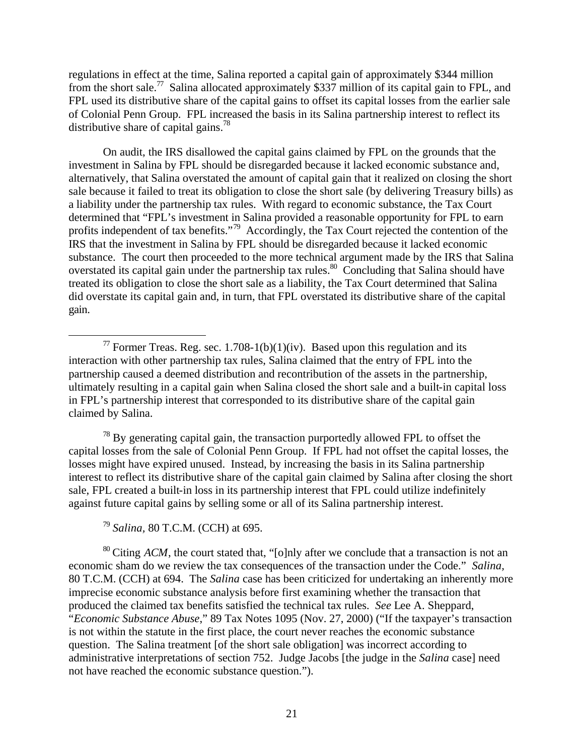regulations in effect at the time, Salina reported a capital gain of approximately \$344 million from the short sale.<sup>77</sup> Salina allocated approximately \$337 million of its capital gain to FPL, and FPL used its distributive share of the capital gains to offset its capital losses from the earlier sale of Colonial Penn Group. FPL increased the basis in its Salina partnership interest to reflect its distributive share of capital gains.<sup>78</sup>

On audit, the IRS disallowed the capital gains claimed by FPL on the grounds that the investment in Salina by FPL should be disregarded because it lacked economic substance and, alternatively, that Salina overstated the amount of capital gain that it realized on closing the short sale because it failed to treat its obligation to close the short sale (by delivering Treasury bills) as a liability under the partnership tax rules. With regard to economic substance, the Tax Court determined that "FPL's investment in Salina provided a reasonable opportunity for FPL to earn profits independent of tax benefits."<sup>79</sup> Accordingly, the Tax Court rejected the contention of the IRS that the investment in Salina by FPL should be disregarded because it lacked economic substance. The court then proceeded to the more technical argument made by the IRS that Salina overstated its capital gain under the partnership tax rules.<sup>80</sup> Concluding that Salina should have treated its obligation to close the short sale as a liability, the Tax Court determined that Salina did overstate its capital gain and, in turn, that FPL overstated its distributive share of the capital gain.

 $78$  By generating capital gain, the transaction purportedly allowed FPL to offset the capital losses from the sale of Colonial Penn Group. If FPL had not offset the capital losses, the losses might have expired unused. Instead, by increasing the basis in its Salina partnership interest to reflect its distributive share of the capital gain claimed by Salina after closing the short sale, FPL created a built-in loss in its partnership interest that FPL could utilize indefinitely against future capital gains by selling some or all of its Salina partnership interest.

<sup>79</sup> *Salina,* 80 T.C.M. (CCH) at 695.

 $\overline{a}$ 

<sup>80</sup> Citing *ACM*, the court stated that, "[o]nly after we conclude that a transaction is not an economic sham do we review the tax consequences of the transaction under the Code." *Salina,* 80 T.C.M. (CCH) at 694. The *Salina* case has been criticized for undertaking an inherently more imprecise economic substance analysis before first examining whether the transaction that produced the claimed tax benefits satisfied the technical tax rules. *See* Lee A. Sheppard, "*Economic Substance Abuse*," 89 Tax Notes 1095 (Nov. 27, 2000) ("If the taxpayer's transaction is not within the statute in the first place, the court never reaches the economic substance question. The Salina treatment [of the short sale obligation] was incorrect according to administrative interpretations of section 752. Judge Jacobs [the judge in the *Salina* case] need not have reached the economic substance question.").

<sup>&</sup>lt;sup>77</sup> Former Treas. Reg. sec. 1.708-1(b)(1)(iv). Based upon this regulation and its interaction with other partnership tax rules, Salina claimed that the entry of FPL into the partnership caused a deemed distribution and recontribution of the assets in the partnership, ultimately resulting in a capital gain when Salina closed the short sale and a built-in capital loss in FPL's partnership interest that corresponded to its distributive share of the capital gain claimed by Salina.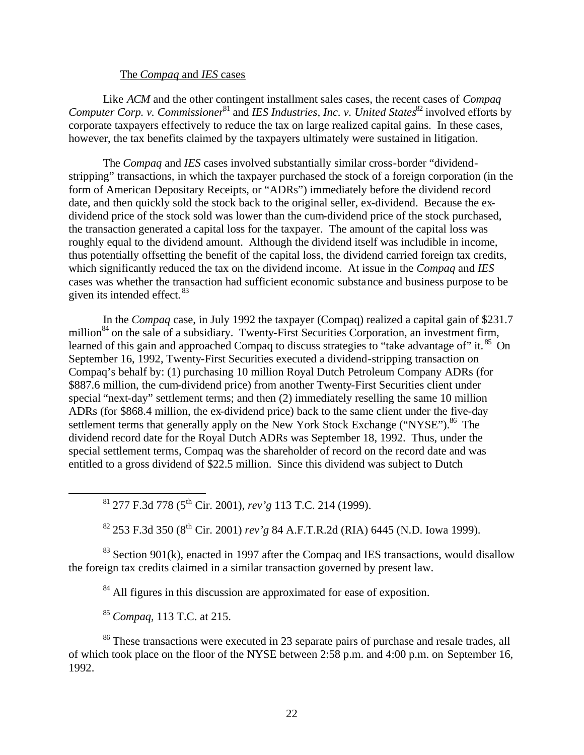#### The *Compaq* and *IES* cases

Like *ACM* and the other contingent installment sales cases, the recent cases of *Compaq Computer Corp. v. Commissioner*<sup>81</sup> and *IES Industries, Inc. v. United States*<sup>82</sup> involved efforts by corporate taxpayers effectively to reduce the tax on large realized capital gains. In these cases, however, the tax benefits claimed by the taxpayers ultimately were sustained in litigation.

The *Compaq* and *IES* cases involved substantially similar cross-border "dividendstripping" transactions, in which the taxpayer purchased the stock of a foreign corporation (in the form of American Depositary Receipts, or "ADRs") immediately before the dividend record date, and then quickly sold the stock back to the original seller, ex-dividend. Because the exdividend price of the stock sold was lower than the cum-dividend price of the stock purchased, the transaction generated a capital loss for the taxpayer. The amount of the capital loss was roughly equal to the dividend amount. Although the dividend itself was includible in income, thus potentially offsetting the benefit of the capital loss, the dividend carried foreign tax credits, which significantly reduced the tax on the dividend income. At issue in the *Compaq* and *IES* cases was whether the transaction had sufficient economic substance and business purpose to be given its intended effect. <sup>83</sup>

In the *Compaq* case, in July 1992 the taxpayer (Compaq) realized a capital gain of \$231.7 million<sup>84</sup> on the sale of a subsidiary. Twenty-First Securities Corporation, an investment firm, learned of this gain and approached Compaq to discuss strategies to "take advantage of" it.<sup>85</sup> On September 16, 1992, Twenty-First Securities executed a dividend-stripping transaction on Compaq's behalf by: (1) purchasing 10 million Royal Dutch Petroleum Company ADRs (for \$887.6 million, the cum-dividend price) from another Twenty-First Securities client under special "next-day" settlement terms; and then (2) immediately reselling the same 10 million ADRs (for \$868.4 million, the ex-dividend price) back to the same client under the five-day settlement terms that generally apply on the New York Stock Exchange ("NYSE").<sup>86</sup> The dividend record date for the Royal Dutch ADRs was September 18, 1992. Thus, under the special settlement terms, Compaq was the shareholder of record on the record date and was entitled to a gross dividend of \$22.5 million. Since this dividend was subject to Dutch

<sup>81</sup> 277 F.3d 778 (5th Cir. 2001), *rev'g* 113 T.C. 214 (1999).

<sup>82</sup> 253 F.3d 350 (8th Cir. 2001) *rev'g* 84 A.F.T.R.2d (RIA) 6445 (N.D. Iowa 1999).

 $83$  Section 901(k), enacted in 1997 after the Compaq and IES transactions, would disallow the foreign tax credits claimed in a similar transaction governed by present law.

<sup>84</sup> All figures in this discussion are approximated for ease of exposition.

<sup>85</sup> *Compaq,* 113 T.C. at 215.

 $\overline{a}$ 

<sup>86</sup> These transactions were executed in 23 separate pairs of purchase and resale trades, all of which took place on the floor of the NYSE between 2:58 p.m. and 4:00 p.m. on September 16, 1992.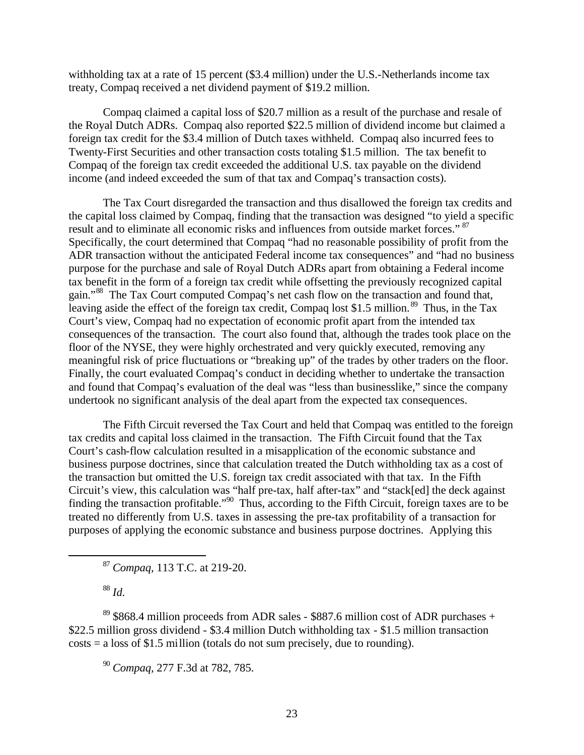withholding tax at a rate of 15 percent (\$3.4 million) under the U.S.-Netherlands income tax treaty, Compaq received a net dividend payment of \$19.2 million.

Compaq claimed a capital loss of \$20.7 million as a result of the purchase and resale of the Royal Dutch ADRs. Compaq also reported \$22.5 million of dividend income but claimed a foreign tax credit for the \$3.4 million of Dutch taxes withheld. Compaq also incurred fees to Twenty-First Securities and other transaction costs totaling \$1.5 million. The tax benefit to Compaq of the foreign tax credit exceeded the additional U.S. tax payable on the dividend income (and indeed exceeded the sum of that tax and Compaq's transaction costs).

The Tax Court disregarded the transaction and thus disallowed the foreign tax credits and the capital loss claimed by Compaq, finding that the transaction was designed "to yield a specific result and to eliminate all economic risks and influences from outside market forces." <sup>87</sup> Specifically, the court determined that Compaq "had no reasonable possibility of profit from the ADR transaction without the anticipated Federal income tax consequences" and "had no business" purpose for the purchase and sale of Royal Dutch ADRs apart from obtaining a Federal income tax benefit in the form of a foreign tax credit while offsetting the previously recognized capital gain."<sup>88</sup> The Tax Court computed Compaq's net cash flow on the transaction and found that, leaving aside the effect of the foreign tax credit, Compaq lost \$1.5 million.<sup>89</sup> Thus, in the Tax Court's view, Compaq had no expectation of economic profit apart from the intended tax consequences of the transaction. The court also found that, although the trades took place on the floor of the NYSE, they were highly orchestrated and very quickly executed, removing any meaningful risk of price fluctuations or "breaking up" of the trades by other traders on the floor. Finally, the court evaluated Compaq's conduct in deciding whether to undertake the transaction and found that Compaq's evaluation of the deal was "less than businesslike," since the company undertook no significant analysis of the deal apart from the expected tax consequences.

The Fifth Circuit reversed the Tax Court and held that Compaq was entitled to the foreign tax credits and capital loss claimed in the transaction. The Fifth Circuit found that the Tax Court's cash-flow calculation resulted in a misapplication of the economic substance and business purpose doctrines, since that calculation treated the Dutch withholding tax as a cost of the transaction but omitted the U.S. foreign tax credit associated with that tax. In the Fifth Circuit's view, this calculation was "half pre-tax, half after-tax" and "stack[ed] the deck against finding the transaction profitable."<sup>90</sup> Thus, according to the Fifth Circuit, foreign taxes are to be treated no differently from U.S. taxes in assessing the pre-tax profitability of a transaction for purposes of applying the economic substance and business purpose doctrines. Applying this

<sup>87</sup> *Compaq,* 113 T.C. at 219-20.

<sup>88</sup> *Id.*

 $\overline{a}$ 

 $89$  \$868.4 million proceeds from ADR sales - \$887.6 million cost of ADR purchases + \$22.5 million gross dividend - \$3.4 million Dutch withholding tax - \$1.5 million transaction  $costs = a loss of $1.5 million (totals do not sum precisely, due to rounding).$ 

<sup>90</sup> *Compaq,* 277 F.3d at 782, 785.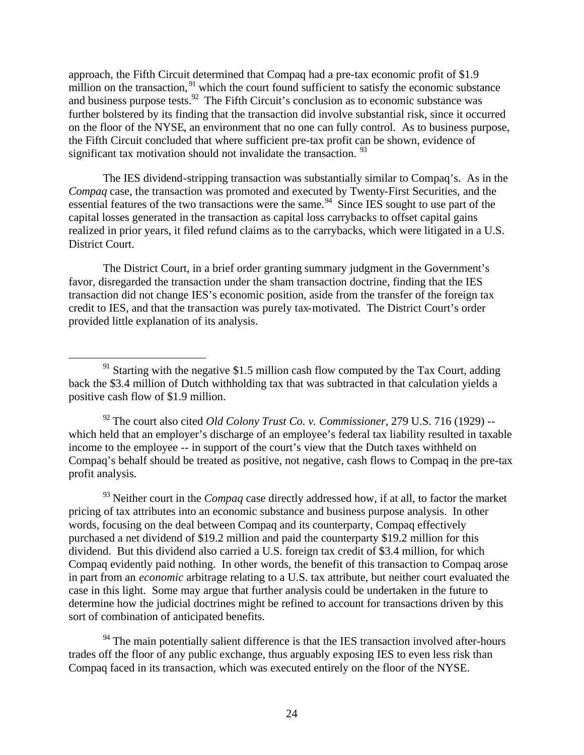approach, the Fifth Circuit determined that Compaq had a pre-tax economic profit of \$1.9 million on the transaction,  $91$  which the court found sufficient to satisfy the economic substance and business purpose tests.<sup>92</sup> The Fifth Circuit's conclusion as to economic substance was further bolstered by its finding that the transaction did involve substantial risk, since it occurred on the floor of the NYSE, an environment that no one can fully control. As to business purpose, the Fifth Circuit concluded that where sufficient pre-tax profit can be shown, evidence of significant tax motivation should not invalidate the transaction.  $93$ 

The IES dividend-stripping transaction was substantially similar to Compaq's. As in the *Compaq* case, the transaction was promoted and executed by Twenty-First Securities, and the essential features of the two transactions were the same.<sup>94</sup> Since IES sought to use part of the capital losses generated in the transaction as capital loss carrybacks to offset capital gains realized in prior years, it filed refund claims as to the carrybacks, which were litigated in a U.S. District Court.

The District Court, in a brief order granting summary judgment in the Government's favor, disregarded the transaction under the sham transaction doctrine, finding that the IES transaction did not change IES's economic position, aside from the transfer of the foreign tax credit to IES, and that the transaction was purely tax-motivated. The District Court's order provided little explanation of its analysis.

 $\overline{a}$ 

<sup>92</sup> The court also cited *Old Colony Trust Co. v. Commissioner*, 279 U.S. 716 (1929) - which held that an employer's discharge of an employee's federal tax liability resulted in taxable income to the employee -- in support of the court's view that the Dutch taxes withheld on Compaq's behalf should be treated as positive, not negative, cash flows to Compaq in the pre-tax profit analysis.

<sup>93</sup> Neither court in the *Compaq* case directly addressed how, if at all, to factor the market pricing of tax attributes into an economic substance and business purpose analysis. In other words, focusing on the deal between Compaq and its counterparty, Compaq effectively purchased a net dividend of \$19.2 million and paid the counterparty \$19.2 million for this dividend. But this dividend also carried a U.S. foreign tax credit of \$3.4 million, for which Compaq evidently paid nothing. In other words, the benefit of this transaction to Compaq arose in part from an *economic* arbitrage relating to a U.S. tax attribute, but neither court evaluated the case in this light. Some may argue that further analysis could be undertaken in the future to determine how the judicial doctrines might be refined to account for transactions driven by this sort of combination of anticipated benefits.

 $94$  The main potentially salient difference is that the IES transaction involved after-hours trades off the floor of any public exchange, thus arguably exposing IES to even less risk than Compaq faced in its transaction, which was executed entirely on the floor of the NYSE.

 $91$  Starting with the negative \$1.5 million cash flow computed by the Tax Court, adding back the \$3.4 million of Dutch withholding tax that was subtracted in that calculation yields a positive cash flow of \$1.9 million.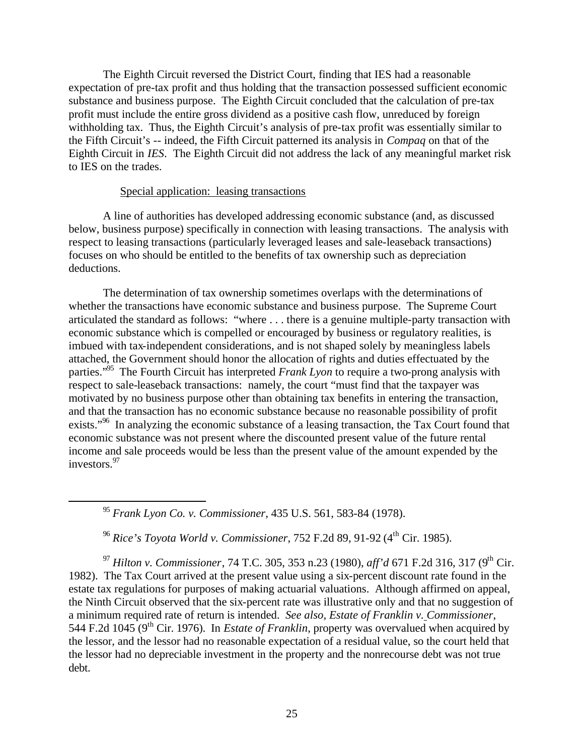The Eighth Circuit reversed the District Court, finding that IES had a reasonable expectation of pre-tax profit and thus holding that the transaction possessed sufficient economic substance and business purpose. The Eighth Circuit concluded that the calculation of pre-tax profit must include the entire gross dividend as a positive cash flow, unreduced by foreign withholding tax. Thus, the Eighth Circuit's analysis of pre-tax profit was essentially similar to the Fifth Circuit's -- indeed, the Fifth Circuit patterned its analysis in *Compaq* on that of the Eighth Circuit in *IES*. The Eighth Circuit did not address the lack of any meaningful market risk to IES on the trades.

### Special application: leasing transactions

A line of authorities has developed addressing economic substance (and, as discussed below, business purpose) specifically in connection with leasing transactions. The analysis with respect to leasing transactions (particularly leveraged leases and sale-leaseback transactions) focuses on who should be entitled to the benefits of tax ownership such as depreciation deductions.

The determination of tax ownership sometimes overlaps with the determinations of whether the transactions have economic substance and business purpose. The Supreme Court articulated the standard as follows: "where . . . there is a genuine multiple-party transaction with economic substance which is compelled or encouraged by business or regulatory realities, is imbued with tax-independent considerations, and is not shaped solely by meaningless labels attached, the Government should honor the allocation of rights and duties effectuated by the parties."<sup>95</sup> The Fourth Circuit has interpreted *Frank Lyon* to require a two-prong analysis with respect to sale-leaseback transactions: namely, the court "must find that the taxpayer was motivated by no business purpose other than obtaining tax benefits in entering the transaction, and that the transaction has no economic substance because no reasonable possibility of profit exists."<sup>96</sup> In analyzing the economic substance of a leasing transaction, the Tax Court found that economic substance was not present where the discounted present value of the future rental income and sale proceeds would be less than the present value of the amount expended by the investors.<sup>97</sup>

<sup>95</sup> *Frank Lyon Co. v. Commissioner*, 435 U.S. 561, 583-84 (1978).

 $\overline{a}$ 

<sup>96</sup> *Rice's Toyota World v. Commissioner*, 752 F.2d 89, 91-92 (4th Cir. 1985).

<sup>97</sup> *Hilton v. Commissioner*, 74 T.C. 305, 353 n.23 (1980), *aff'd* 671 F.2d 316, 317 (9th Cir. 1982). The Tax Court arrived at the present value using a six-percent discount rate found in the estate tax regulations for purposes of making actuarial valuations. Although affirmed on appeal, the Ninth Circuit observed that the six-percent rate was illustrative only and that no suggestion of a minimum required rate of return is intended. *See also, Estate of Franklin v. Commissioner*, 544 F.2d 1045 (9<sup>th</sup> Cir. 1976). In *Estate of Franklin*, property was overvalued when acquired by the lessor, and the lessor had no reasonable expectation of a residual value, so the court held that the lessor had no depreciable investment in the property and the nonrecourse debt was not true debt.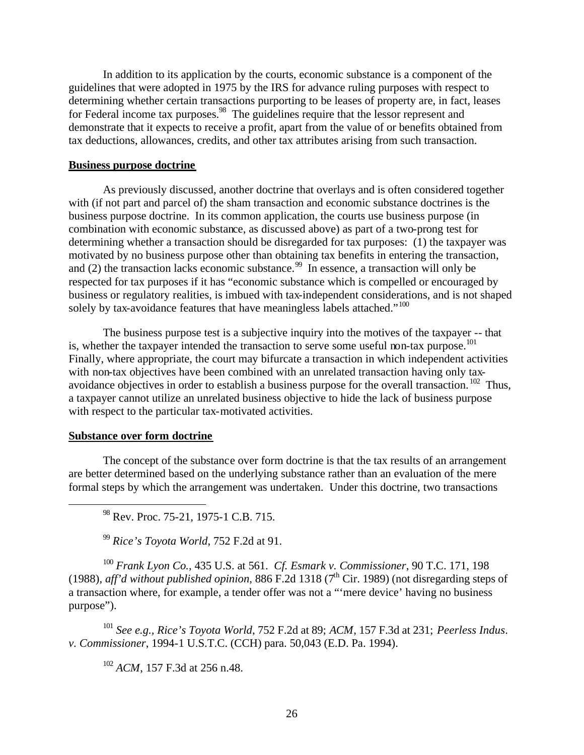In addition to its application by the courts, economic substance is a component of the guidelines that were adopted in 1975 by the IRS for advance ruling purposes with respect to determining whether certain transactions purporting to be leases of property are, in fact, leases for Federal income tax purposes.<sup>98</sup> The guidelines require that the lessor represent and demonstrate that it expects to receive a profit, apart from the value of or benefits obtained from tax deductions, allowances, credits, and other tax attributes arising from such transaction.

### **Business purpose doctrine**

As previously discussed, another doctrine that overlays and is often considered together with (if not part and parcel of) the sham transaction and economic substance doctrines is the business purpose doctrine. In its common application, the courts use business purpose (in combination with economic substance, as discussed above) as part of a two-prong test for determining whether a transaction should be disregarded for tax purposes: (1) the taxpayer was motivated by no business purpose other than obtaining tax benefits in entering the transaction, and (2) the transaction lacks economic substance.<sup>99</sup> In essence, a transaction will only be respected for tax purposes if it has "economic substance which is compelled or encouraged by business or regulatory realities, is imbued with tax-independent considerations, and is not shaped solely by tax-avoidance features that have meaningless labels attached."<sup>100</sup>

The business purpose test is a subjective inquiry into the motives of the taxpayer -- that is, whether the taxpayer intended the transaction to serve some useful non-tax purpose.<sup>101</sup> Finally, where appropriate, the court may bifurcate a transaction in which independent activities with non-tax objectives have been combined with an unrelated transaction having only taxavoidance objectives in order to establish a business purpose for the overall transaction.  $102$  Thus, a taxpayer cannot utilize an unrelated business objective to hide the lack of business purpose with respect to the particular tax-motivated activities.

### **Substance over form doctrine**

 $\overline{a}$ 

The concept of the substance over form doctrine is that the tax results of an arrangement are better determined based on the underlying substance rather than an evaluation of the mere formal steps by which the arrangement was undertaken. Under this doctrine, two transactions

<sup>98</sup> Rev. Proc. 75-21, 1975-1 C.B. 715.

<sup>99</sup> *Rice's Toyota World*, 752 F.2d at 91.

<sup>100</sup> *Frank Lyon Co.,* 435 U.S. at 561. *Cf. Esmark v. Commissioner*, 90 T.C. 171, 198 (1988), *aff'd without published opinion*, 886 F.2d 1318 (7th Cir. 1989) (not disregarding steps of a transaction where, for example, a tender offer was not a "'mere device' having no business purpose").

<sup>101</sup> *See e.g., Rice's Toyota World*, 752 F.2d at 89; *ACM*, 157 F.3d at 231; *Peerless Indus*. *v. Commissioner*, 1994-1 U.S.T.C. (CCH) para. 50,043 (E.D. Pa. 1994).

<sup>102</sup> *ACM*, 157 F.3d at 256 n.48.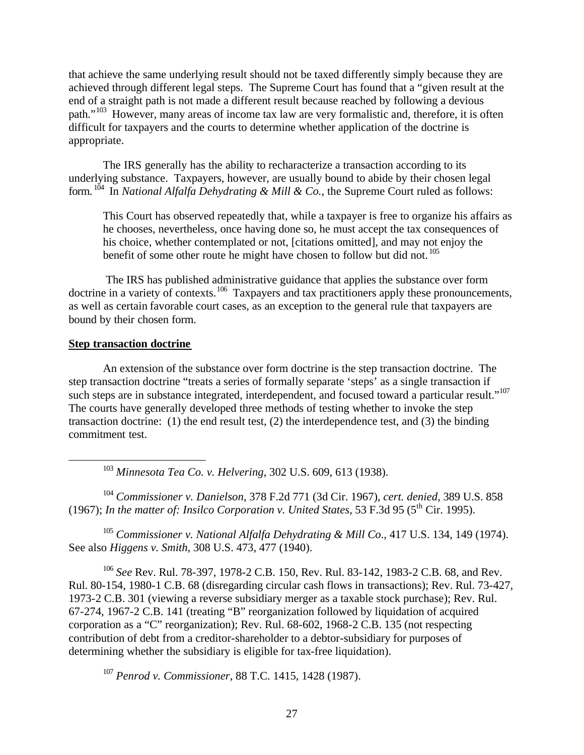that achieve the same underlying result should not be taxed differently simply because they are achieved through different legal steps. The Supreme Court has found that a "given result at the end of a straight path is not made a different result because reached by following a devious path."<sup>103</sup> However, many areas of income tax law are very formalistic and, therefore, it is often difficult for taxpayers and the courts to determine whether application of the doctrine is appropriate.

The IRS generally has the ability to recharacterize a transaction according to its underlying substance. Taxpayers, however, are usually bound to abide by their chosen legal form. <sup>104</sup> In *National Alfalfa Dehydrating & Mill & Co.*, the Supreme Court ruled as follows:

This Court has observed repeatedly that, while a taxpayer is free to organize his affairs as he chooses, nevertheless, once having done so, he must accept the tax consequences of his choice, whether contemplated or not, [citations omitted], and may not enjoy the benefit of some other route he might have chosen to follow but did not.  $105$ 

 The IRS has published administrative guidance that applies the substance over form doctrine in a variety of contexts.<sup>106</sup> Taxpayers and tax practitioners apply these pronouncements, as well as certain favorable court cases, as an exception to the general rule that taxpayers are bound by their chosen form.

### **Step transaction doctrine**

1

An extension of the substance over form doctrine is the step transaction doctrine. The step transaction doctrine "treats a series of formally separate 'steps' as a single transaction if such steps are in substance integrated, interdependent, and focused toward a particular result."<sup>107</sup> The courts have generally developed three methods of testing whether to invoke the step transaction doctrine: (1) the end result test, (2) the interdependence test, and (3) the binding commitment test.

<sup>103</sup> *Minnesota Tea Co. v. Helvering*, 302 U.S. 609, 613 (1938).

<sup>104</sup> *Commissioner v. Danielson*, 378 F.2d 771 (3d Cir. 1967), *cert. denied*, 389 U.S. 858 (1967); *In the matter of: Insilco Corporation v. United States*, 53 F.3d 95 ( $5<sup>th</sup>$  Cir. 1995).

<sup>105</sup> *Commissioner v. National Alfalfa Dehydrating & Mill Co*., 417 U.S. 134, 149 (1974). See also *Higgens v. Smith*, 308 U.S. 473, 477 (1940).

<sup>106</sup> *See* Rev. Rul. 78-397, 1978-2 C.B. 150, Rev. Rul. 83-142, 1983-2 C.B. 68, and Rev. Rul. 80-154, 1980-1 C.B. 68 (disregarding circular cash flows in transactions); Rev. Rul. 73-427, 1973-2 C.B. 301 (viewing a reverse subsidiary merger as a taxable stock purchase); Rev. Rul. 67-274, 1967-2 C.B. 141 (treating "B" reorganization followed by liquidation of acquired corporation as a "C" reorganization); Rev. Rul. 68-602, 1968-2 C.B. 135 (not respecting contribution of debt from a creditor-shareholder to a debtor-subsidiary for purposes of determining whether the subsidiary is eligible for tax-free liquidation).

<sup>107</sup> *Penrod v. Commissioner*, 88 T.C. 1415, 1428 (1987).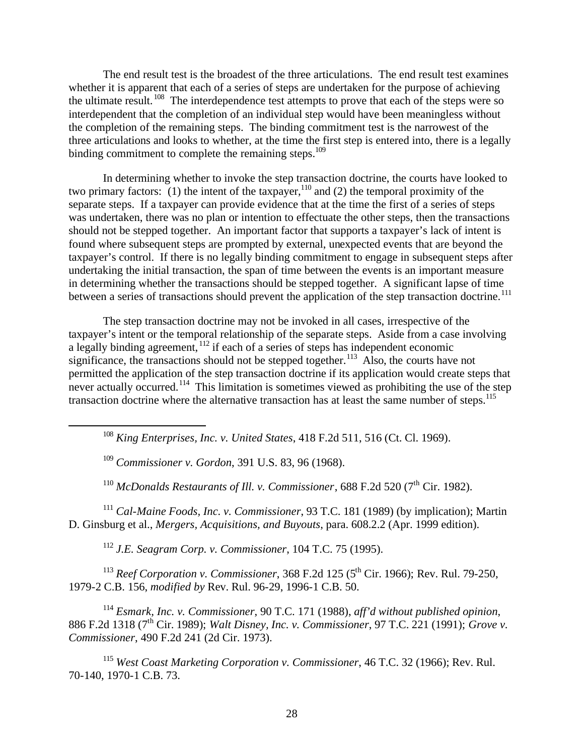The end result test is the broadest of the three articulations. The end result test examines whether it is apparent that each of a series of steps are undertaken for the purpose of achieving the ultimate result. <sup>108</sup> The interdependence test attempts to prove that each of the steps were so interdependent that the completion of an individual step would have been meaningless without the completion of the remaining steps. The binding commitment test is the narrowest of the three articulations and looks to whether, at the time the first step is entered into, there is a legally binding commitment to complete the remaining steps.<sup>109</sup>

In determining whether to invoke the step transaction doctrine, the courts have looked to two primary factors: (1) the intent of the taxpayer,<sup>110</sup> and (2) the temporal proximity of the separate steps. If a taxpayer can provide evidence that at the time the first of a series of steps was undertaken, there was no plan or intention to effectuate the other steps, then the transactions should not be stepped together. An important factor that supports a taxpayer's lack of intent is found where subsequent steps are prompted by external, unexpected events that are beyond the taxpayer's control. If there is no legally binding commitment to engage in subsequent steps after undertaking the initial transaction, the span of time between the events is an important measure in determining whether the transactions should be stepped together. A significant lapse of time between a series of transactions should prevent the application of the step transaction doctrine.<sup>111</sup>

The step transaction doctrine may not be invoked in all cases, irrespective of the taxpayer's intent or the temporal relationship of the separate steps. Aside from a case involving a legally binding agreement, <sup>112</sup> if each of a series of steps has independent economic significance, the transactions should not be stepped together.<sup>113</sup> Also, the courts have not permitted the application of the step transaction doctrine if its application would create steps that never actually occurred.<sup>114</sup> This limitation is sometimes viewed as prohibiting the use of the step transaction doctrine where the alternative transaction has at least the same number of steps.<sup>115</sup>

<sup>108</sup> *King Enterprises, Inc. v. United States*, 418 F.2d 511, 516 (Ct. Cl. 1969).

<sup>109</sup> *Commissioner v. Gordon*, 391 U.S. 83, 96 (1968).

1

<sup>110</sup> *McDonalds Restaurants of Ill. v. Commissioner*, 688 F.2d 520 (7<sup>th</sup> Cir. 1982).

<sup>111</sup> *Cal-Maine Foods, Inc. v. Commissioner*, 93 T.C. 181 (1989) (by implication); Martin D. Ginsburg et al., *Mergers, Acquisitions, and Buyouts*, para. 608.2.2 (Apr. 1999 edition).

<sup>112</sup> *J.E. Seagram Corp. v. Commissioner*, 104 T.C. 75 (1995).

<sup>113</sup> *Reef Corporation v. Commissioner*, 368 F.2d 125 (5<sup>th</sup> Cir. 1966); Rev. Rul. 79-250, 1979-2 C.B. 156, *modified by* Rev. Rul. 96-29, 1996-1 C.B. 50.

<sup>114</sup> *Esmark, Inc. v. Commissioner*, 90 T.C. 171 (1988), *aff'd without published opinion*, 886 F.2d 1318 (7th Cir. 1989); *Walt Disney, Inc. v. Commissioner*, 97 T.C. 221 (1991); *Grove v. Commissioner*, 490 F.2d 241 (2d Cir. 1973).

<sup>115</sup> *West Coast Marketing Corporation v. Commissioner*, 46 T.C. 32 (1966); Rev. Rul. 70-140, 1970-1 C.B. 73.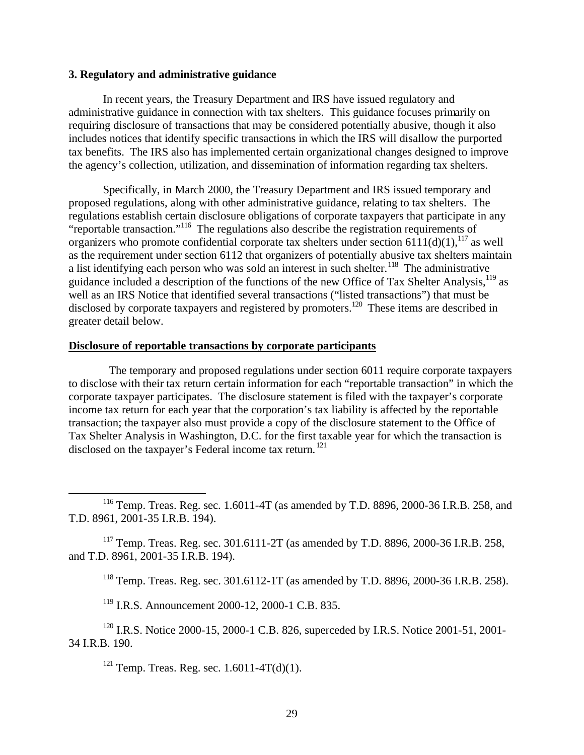#### **3. Regulatory and administrative guidance**

In recent years, the Treasury Department and IRS have issued regulatory and administrative guidance in connection with tax shelters. This guidance focuses primarily on requiring disclosure of transactions that may be considered potentially abusive, though it also includes notices that identify specific transactions in which the IRS will disallow the purported tax benefits. The IRS also has implemented certain organizational changes designed to improve the agency's collection, utilization, and dissemination of information regarding tax shelters.

Specifically, in March 2000, the Treasury Department and IRS issued temporary and proposed regulations, along with other administrative guidance, relating to tax shelters. The regulations establish certain disclosure obligations of corporate taxpayers that participate in any "reportable transaction."<sup>116</sup> The regulations also describe the registration requirements of organizers who promote confidential corporate tax shelters under section 6111(d)(1),<sup>117</sup> as well as the requirement under section 6112 that organizers of potentially abusive tax shelters maintain a list identifying each person who was sold an interest in such shelter.<sup>118</sup> The administrative guidance included a description of the functions of the new Office of Tax Shelter Analysis,<sup>119</sup> as well as an IRS Notice that identified several transactions ("listed transactions") that must be disclosed by corporate taxpayers and registered by promoters.<sup>120</sup> These items are described in greater detail below.

### **Disclosure of reportable transactions by corporate participants**

 The temporary and proposed regulations under section 6011 require corporate taxpayers to disclose with their tax return certain information for each "reportable transaction" in which the corporate taxpayer participates. The disclosure statement is filed with the taxpayer's corporate income tax return for each year that the corporation's tax liability is affected by the reportable transaction; the taxpayer also must provide a copy of the disclosure statement to the Office of Tax Shelter Analysis in Washington, D.C. for the first taxable year for which the transaction is disclosed on the taxpayer's Federal income tax return. <sup>121</sup>

<sup>117</sup> Temp. Treas. Reg. sec. 301.6111-2T (as amended by T.D. 8896, 2000-36 I.R.B. 258, and T.D. 8961, 2001-35 I.R.B. 194).

<sup>118</sup> Temp. Treas. Reg. sec. 301.6112-1T (as amended by T.D. 8896, 2000-36 I.R.B. 258).

<sup>119</sup> I.R.S. Announcement 2000-12, 2000-1 C.B. 835.

<sup>120</sup> I.R.S. Notice 2000-15, 2000-1 C.B. 826, superceded by I.R.S. Notice 2001-51, 2001-34 I.R.B. 190.

 $121$  Temp. Treas. Reg. sec. 1.6011-4T(d)(1).

 $\overline{a}$ 

<sup>116</sup> Temp. Treas. Reg. sec. 1.6011-4T (as amended by T.D. 8896, 2000-36 I.R.B. 258, and T.D. 8961, 2001-35 I.R.B. 194).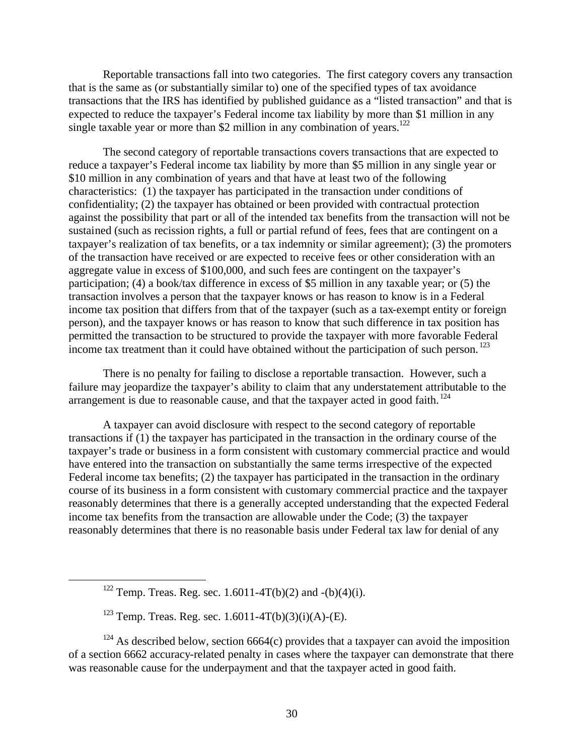Reportable transactions fall into two categories. The first category covers any transaction that is the same as (or substantially similar to) one of the specified types of tax avoidance transactions that the IRS has identified by published guidance as a "listed transaction" and that is expected to reduce the taxpayer's Federal income tax liability by more than \$1 million in any single taxable year or more than \$2 million in any combination of years.<sup>122</sup>

The second category of reportable transactions covers transactions that are expected to reduce a taxpayer's Federal income tax liability by more than \$5 million in any single year or \$10 million in any combination of years and that have at least two of the following characteristics: (1) the taxpayer has participated in the transaction under conditions of confidentiality; (2) the taxpayer has obtained or been provided with contractual protection against the possibility that part or all of the intended tax benefits from the transaction will not be sustained (such as recission rights, a full or partial refund of fees, fees that are contingent on a taxpayer's realization of tax benefits, or a tax indemnity or similar agreement); (3) the promoters of the transaction have received or are expected to receive fees or other consideration with an aggregate value in excess of \$100,000, and such fees are contingent on the taxpayer's participation; (4) a book/tax difference in excess of \$5 million in any taxable year; or (5) the transaction involves a person that the taxpayer knows or has reason to know is in a Federal income tax position that differs from that of the taxpayer (such as a tax-exempt entity or foreign person), and the taxpayer knows or has reason to know that such difference in tax position has permitted the transaction to be structured to provide the taxpayer with more favorable Federal income tax treatment than it could have obtained without the participation of such person.<sup>123</sup>

There is no penalty for failing to disclose a reportable transaction. However, such a failure may jeopardize the taxpayer's ability to claim that any understatement attributable to the arrangement is due to reasonable cause, and that the taxpayer acted in good faith.  $^{124}$ 

A taxpayer can avoid disclosure with respect to the second category of reportable transactions if (1) the taxpayer has participated in the transaction in the ordinary course of the taxpayer's trade or business in a form consistent with customary commercial practice and would have entered into the transaction on substantially the same terms irrespective of the expected Federal income tax benefits; (2) the taxpayer has participated in the transaction in the ordinary course of its business in a form consistent with customary commercial practice and the taxpayer reasonably determines that there is a generally accepted understanding that the expected Federal income tax benefits from the transaction are allowable under the Code; (3) the taxpayer reasonably determines that there is no reasonable basis under Federal tax law for denial of any

 $\overline{a}$ 

 $124$  As described below, section 6664(c) provides that a taxpayer can avoid the imposition of a section 6662 accuracy-related penalty in cases where the taxpayer can demonstrate that there was reasonable cause for the underpayment and that the taxpayer acted in good faith.

<sup>&</sup>lt;sup>122</sup> Temp. Treas. Reg. sec. 1.6011-4T(b)(2) and -(b)(4)(i).

<sup>&</sup>lt;sup>123</sup> Temp. Treas. Reg. sec. 1.6011-4T(b)(3)(i)(A)-(E).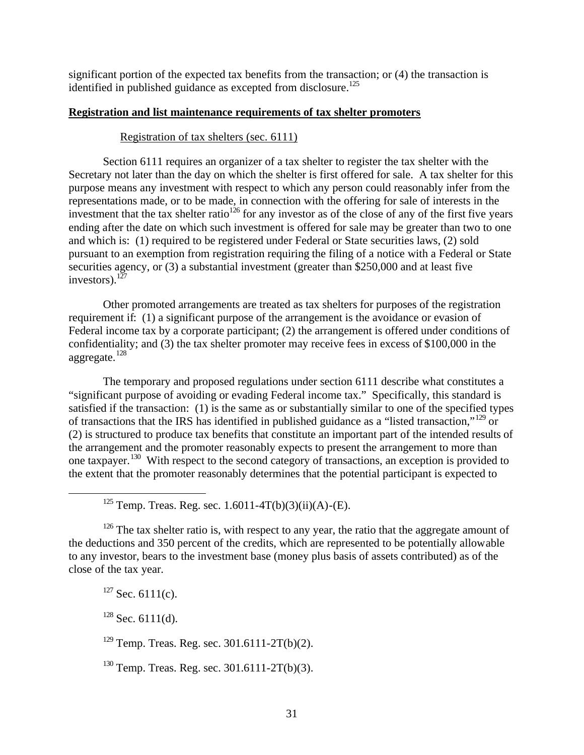significant portion of the expected tax benefits from the transaction; or (4) the transaction is identified in published guidance as excepted from disclosure.<sup>125</sup>

# **Registration and list maintenance requirements of tax shelter promoters**

# Registration of tax shelters (sec. 6111)

Section 6111 requires an organizer of a tax shelter to register the tax shelter with the Secretary not later than the day on which the shelter is first offered for sale. A tax shelter for this purpose means any investment with respect to which any person could reasonably infer from the representations made, or to be made, in connection with the offering for sale of interests in the investment that the tax shelter ratio<sup>126</sup> for any investor as of the close of any of the first five years ending after the date on which such investment is offered for sale may be greater than two to one and which is: (1) required to be registered under Federal or State securities laws, (2) sold pursuant to an exemption from registration requiring the filing of a notice with a Federal or State securities agency, or (3) a substantial investment (greater than \$250,000 and at least five investors). $127$ 

Other promoted arrangements are treated as tax shelters for purposes of the registration requirement if: (1) a significant purpose of the arrangement is the avoidance or evasion of Federal income tax by a corporate participant; (2) the arrangement is offered under conditions of confidentiality; and (3) the tax shelter promoter may receive fees in excess of \$100,000 in the aggregate.<sup>128</sup>

The temporary and proposed regulations under section 6111 describe what constitutes a "significant purpose of avoiding or evading Federal income tax." Specifically, this standard is satisfied if the transaction: (1) is the same as or substantially similar to one of the specified types of transactions that the IRS has identified in published guidance as a "listed transaction,"<sup>129</sup> or (2) is structured to produce tax benefits that constitute an important part of the intended results of the arrangement and the promoter reasonably expects to present the arrangement to more than one taxpayer.<sup>130</sup> With respect to the second category of transactions, an exception is provided to the extent that the promoter reasonably determines that the potential participant is expected to

 $126$  The tax shelter ratio is, with respect to any year, the ratio that the aggregate amount of the deductions and 350 percent of the credits, which are represented to be potentially allowable to any investor, bears to the investment base (money plus basis of assets contributed) as of the close of the tax year.

 $127$  Sec. 6111(c).

 $\overline{a}$ 

 $128$  Sec. 6111(d).

 $129$  Temp. Treas. Reg. sec. 301.6111-2T(b)(2).

 $^{130}$  Temp. Treas. Reg. sec. 301.6111-2T(b)(3).

<sup>&</sup>lt;sup>125</sup> Temp. Treas. Reg. sec. 1.6011-4T(b)(3)(ii)(A)-(E).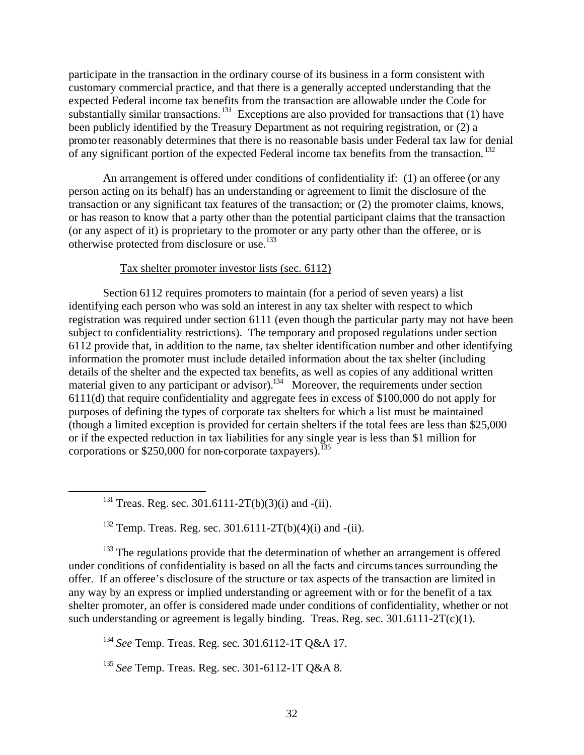participate in the transaction in the ordinary course of its business in a form consistent with customary commercial practice, and that there is a generally accepted understanding that the expected Federal income tax benefits from the transaction are allowable under the Code for substantially similar transactions.<sup>131</sup> Exceptions are also provided for transactions that (1) have been publicly identified by the Treasury Department as not requiring registration, or (2) a promoter reasonably determines that there is no reasonable basis under Federal tax law for denial of any significant portion of the expected Federal income tax benefits from the transaction.<sup>132</sup>

An arrangement is offered under conditions of confidentiality if: (1) an offeree (or any person acting on its behalf) has an understanding or agreement to limit the disclosure of the transaction or any significant tax features of the transaction; or (2) the promoter claims, knows, or has reason to know that a party other than the potential participant claims that the transaction (or any aspect of it) is proprietary to the promoter or any party other than the offeree, or is otherwise protected from disclosure or use.<sup>133</sup>

# Tax shelter promoter investor lists (sec. 6112)

Section 6112 requires promoters to maintain (for a period of seven years) a list identifying each person who was sold an interest in any tax shelter with respect to which registration was required under section 6111 (even though the particular party may not have been subject to confidentiality restrictions). The temporary and proposed regulations under section 6112 provide that, in addition to the name, tax shelter identification number and other identifying information the promoter must include detailed information about the tax shelter (including details of the shelter and the expected tax benefits, as well as copies of any additional written material given to any participant or advisor).<sup>134</sup> Moreover, the requirements under section 6111(d) that require confidentiality and aggregate fees in excess of \$100,000 do not apply for purposes of defining the types of corporate tax shelters for which a list must be maintained (though a limited exception is provided for certain shelters if the total fees are less than \$25,000 or if the expected reduction in tax liabilities for any single year is less than \$1 million for corporations or  $$250,000$  for non-corporate taxpayers).<sup>135</sup>

<sup>131</sup> Treas. Reg. sec. 301.6111-2T(b)(3)(i) and -(ii).

1

<sup>132</sup> Temp. Treas. Reg. sec. 301.6111-2T(b)(4)(i) and -(ii).

 $133$  The regulations provide that the determination of whether an arrangement is offered under conditions of confidentiality is based on all the facts and circumstances surrounding the offer. If an offeree's disclosure of the structure or tax aspects of the transaction are limited in any way by an express or implied understanding or agreement with or for the benefit of a tax shelter promoter, an offer is considered made under conditions of confidentiality, whether or not such understanding or agreement is legally binding. Treas. Reg. sec.  $301.6111-2T(c)(1)$ .

<sup>134</sup> *See* Temp. Treas. Reg. sec. 301.6112-1T Q&A 17.

<sup>135</sup> *See* Temp. Treas. Reg. sec. 301-6112-1T Q&A 8.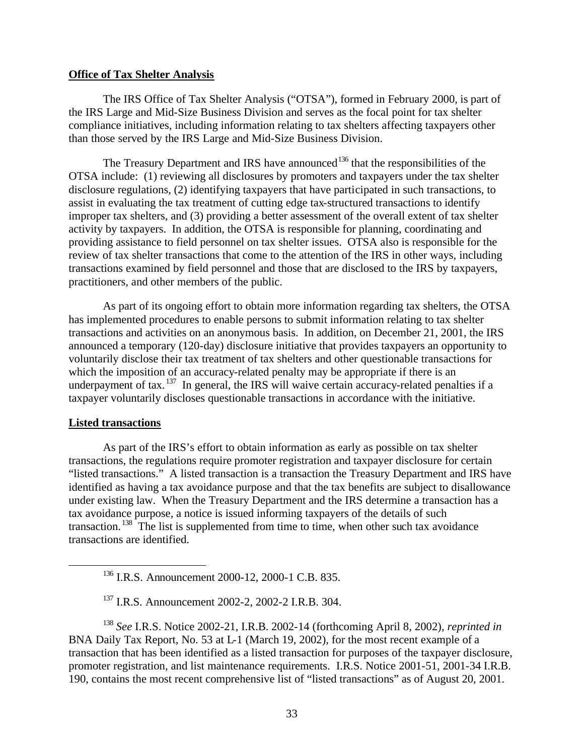#### **Office of Tax Shelter Analysis**

The IRS Office of Tax Shelter Analysis ("OTSA"), formed in February 2000, is part of the IRS Large and Mid-Size Business Division and serves as the focal point for tax shelter compliance initiatives, including information relating to tax shelters affecting taxpayers other than those served by the IRS Large and Mid-Size Business Division.

The Treasury Department and IRS have announced<sup>136</sup> that the responsibilities of the OTSA include: (1) reviewing all disclosures by promoters and taxpayers under the tax shelter disclosure regulations, (2) identifying taxpayers that have participated in such transactions, to assist in evaluating the tax treatment of cutting edge tax-structured transactions to identify improper tax shelters, and (3) providing a better assessment of the overall extent of tax shelter activity by taxpayers. In addition, the OTSA is responsible for planning, coordinating and providing assistance to field personnel on tax shelter issues. OTSA also is responsible for the review of tax shelter transactions that come to the attention of the IRS in other ways, including transactions examined by field personnel and those that are disclosed to the IRS by taxpayers, practitioners, and other members of the public.

As part of its ongoing effort to obtain more information regarding tax shelters, the OTSA has implemented procedures to enable persons to submit information relating to tax shelter transactions and activities on an anonymous basis. In addition, on December 21, 2001, the IRS announced a temporary (120-day) disclosure initiative that provides taxpayers an opportunity to voluntarily disclose their tax treatment of tax shelters and other questionable transactions for which the imposition of an accuracy-related penalty may be appropriate if there is an underpayment of tax.  $137$  In general, the IRS will waive certain accuracy-related penalties if a taxpayer voluntarily discloses questionable transactions in accordance with the initiative.

### **Listed transactions**

 $\overline{a}$ 

As part of the IRS's effort to obtain information as early as possible on tax shelter transactions, the regulations require promoter registration and taxpayer disclosure for certain "listed transactions." A listed transaction is a transaction the Treasury Department and IRS have identified as having a tax avoidance purpose and that the tax benefits are subject to disallowance under existing law. When the Treasury Department and the IRS determine a transaction has a tax avoidance purpose, a notice is issued informing taxpayers of the details of such transaction. <sup>138</sup> The list is supplemented from time to time, when other such tax avoidance transactions are identified.

<sup>138</sup> *See* I.R.S. Notice 2002-21, I.R.B. 2002-14 (forthcoming April 8, 2002), *reprinted in* BNA Daily Tax Report, No. 53 at L-1 (March 19, 2002), for the most recent example of a transaction that has been identified as a listed transaction for purposes of the taxpayer disclosure, promoter registration, and list maintenance requirements. I.R.S. Notice 2001-51, 2001-34 I.R.B. 190, contains the most recent comprehensive list of "listed transactions" as of August 20, 2001.

<sup>&</sup>lt;sup>136</sup> I.R.S. Announcement 2000-12, 2000-1 C.B. 835.

<sup>137</sup> I.R.S. Announcement 2002-2, 2002-2 I.R.B. 304.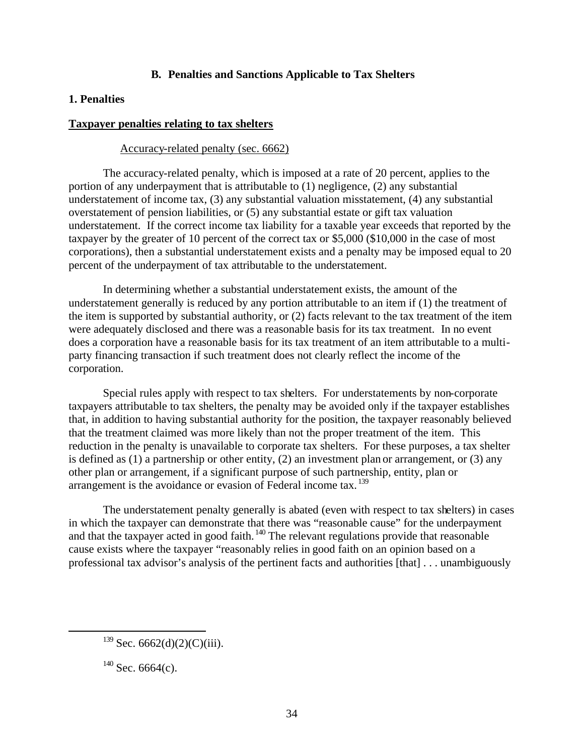# **B. Penalties and Sanctions Applicable to Tax Shelters**

# **1. Penalties**

### **Taxpayer penalties relating to tax shelters**

### Accuracy-related penalty (sec. 6662)

The accuracy-related penalty, which is imposed at a rate of 20 percent, applies to the portion of any underpayment that is attributable to (1) negligence, (2) any substantial understatement of income tax, (3) any substantial valuation misstatement, (4) any substantial overstatement of pension liabilities, or (5) any substantial estate or gift tax valuation understatement. If the correct income tax liability for a taxable year exceeds that reported by the taxpayer by the greater of 10 percent of the correct tax or \$5,000 (\$10,000 in the case of most corporations), then a substantial understatement exists and a penalty may be imposed equal to 20 percent of the underpayment of tax attributable to the understatement.

In determining whether a substantial understatement exists, the amount of the understatement generally is reduced by any portion attributable to an item if (1) the treatment of the item is supported by substantial authority, or (2) facts relevant to the tax treatment of the item were adequately disclosed and there was a reasonable basis for its tax treatment. In no event does a corporation have a reasonable basis for its tax treatment of an item attributable to a multiparty financing transaction if such treatment does not clearly reflect the income of the corporation.

Special rules apply with respect to tax shelters. For understatements by non-corporate taxpayers attributable to tax shelters, the penalty may be avoided only if the taxpayer establishes that, in addition to having substantial authority for the position, the taxpayer reasonably believed that the treatment claimed was more likely than not the proper treatment of the item. This reduction in the penalty is unavailable to corporate tax shelters. For these purposes, a tax shelter is defined as (1) a partnership or other entity, (2) an investment plan or arrangement, or (3) any other plan or arrangement, if a significant purpose of such partnership, entity, plan or arrangement is the avoidance or evasion of Federal income tax.<sup>139</sup>

The understatement penalty generally is abated (even with respect to tax shelters) in cases in which the taxpayer can demonstrate that there was "reasonable cause" for the underpayment and that the taxpayer acted in good faith.  $\frac{140}{2}$  The relevant regulations provide that reasonable cause exists where the taxpayer "reasonably relies in good faith on an opinion based on a professional tax advisor's analysis of the pertinent facts and authorities [that] . . . unambiguously

 $\overline{a}$ 

 $139$  Sec. 6662(d)(2)(C)(iii).

 $140$  Sec. 6664(c).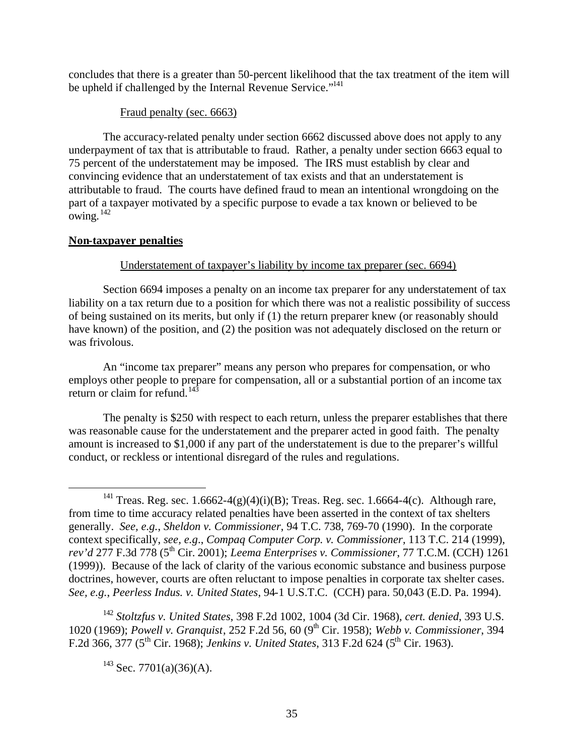concludes that there is a greater than 50-percent likelihood that the tax treatment of the item will be upheld if challenged by the Internal Revenue Service."<sup>141</sup>

# Fraud penalty (sec. 6663)

The accuracy-related penalty under section 6662 discussed above does not apply to any underpayment of tax that is attributable to fraud. Rather, a penalty under section 6663 equal to 75 percent of the understatement may be imposed. The IRS must establish by clear and convincing evidence that an understatement of tax exists and that an understatement is attributable to fraud. The courts have defined fraud to mean an intentional wrongdoing on the part of a taxpayer motivated by a specific purpose to evade a tax known or believed to be owing.  $^{142}$ 

# **Non-taxpayer penalties**

 $\overline{a}$ 

# Understatement of taxpayer's liability by income tax preparer (sec. 6694)

Section 6694 imposes a penalty on an income tax preparer for any understatement of tax liability on a tax return due to a position for which there was not a realistic possibility of success of being sustained on its merits, but only if (1) the return preparer knew (or reasonably should have known) of the position, and (2) the position was not adequately disclosed on the return or was frivolous.

An "income tax preparer" means any person who prepares for compensation, or who employs other people to prepare for compensation, all or a substantial portion of an income tax return or claim for refund. $143$ 

The penalty is \$250 with respect to each return, unless the preparer establishes that there was reasonable cause for the understatement and the preparer acted in good faith. The penalty amount is increased to \$1,000 if any part of the understatement is due to the preparer's willful conduct, or reckless or intentional disregard of the rules and regulations.

<sup>142</sup> *Stoltzfus v. United States*, 398 F.2d 1002, 1004 (3d Cir. 1968), *cert. denied*, 393 U.S. 1020 (1969); *Powell v. Granquist*, 252 F.2d 56, 60 (9th Cir. 1958); *Webb v. Commissioner*, 394 F.2d 366, 377 (5th Cir. 1968); *Jenkins v. United States*, 313 F.2d 624 (5th Cir. 1963).

<sup>&</sup>lt;sup>141</sup> Treas. Reg. sec. 1.6662-4(g)(4)(i)(B); Treas. Reg. sec. 1.6664-4(c). Although rare, from time to time accuracy related penalties have been asserted in the context of tax shelters generally. *See, e.g.*, *Sheldon v. Commissioner*, 94 T.C. 738, 769-70 (1990). In the corporate context specifically, *see, e.g*., *Compaq Computer Corp. v. Commissioner,* 113 T.C. 214 (1999), *rev'd* 277 F.3d 778 (5<sup>th</sup> Cir. 2001); *Leema Enterprises v. Commissioner*, 77 T.C.M. (CCH) 1261 (1999)). Because of the lack of clarity of the various economic substance and business purpose doctrines, however, courts are often reluctant to impose penalties in corporate tax shelter cases. *See, e.g.*, *Peerless Indus. v. United States*, 94-1 U.S.T.C. (CCH) para. 50,043 (E.D. Pa. 1994).

 $143$  Sec. 7701(a)(36)(A).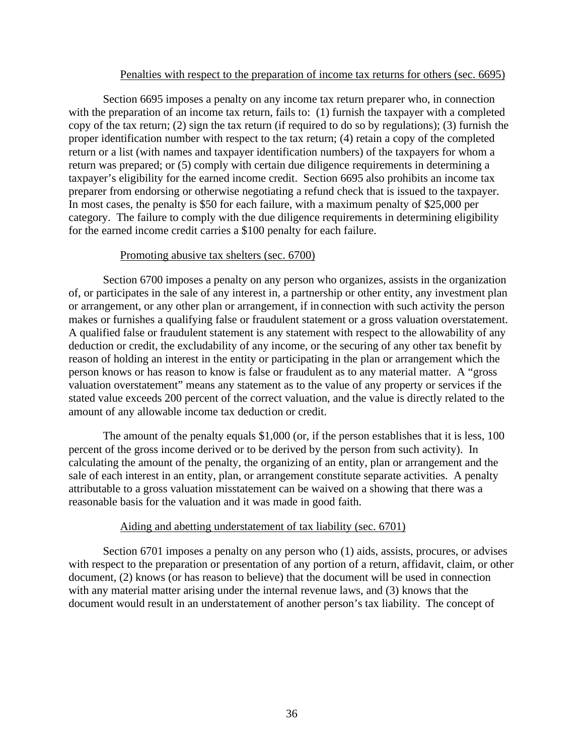#### Penalties with respect to the preparation of income tax returns for others (sec. 6695)

Section 6695 imposes a penalty on any income tax return preparer who, in connection with the preparation of an income tax return, fails to: (1) furnish the taxpayer with a completed copy of the tax return; (2) sign the tax return (if required to do so by regulations); (3) furnish the proper identification number with respect to the tax return; (4) retain a copy of the completed return or a list (with names and taxpayer identification numbers) of the taxpayers for whom a return was prepared; or (5) comply with certain due diligence requirements in determining a taxpayer's eligibility for the earned income credit. Section 6695 also prohibits an income tax preparer from endorsing or otherwise negotiating a refund check that is issued to the taxpayer. In most cases, the penalty is \$50 for each failure, with a maximum penalty of \$25,000 per category. The failure to comply with the due diligence requirements in determining eligibility for the earned income credit carries a \$100 penalty for each failure.

### Promoting abusive tax shelters (sec. 6700)

Section 6700 imposes a penalty on any person who organizes, assists in the organization of, or participates in the sale of any interest in, a partnership or other entity, any investment plan or arrangement, or any other plan or arrangement, if in connection with such activity the person makes or furnishes a qualifying false or fraudulent statement or a gross valuation overstatement. A qualified false or fraudulent statement is any statement with respect to the allowability of any deduction or credit, the excludability of any income, or the securing of any other tax benefit by reason of holding an interest in the entity or participating in the plan or arrangement which the person knows or has reason to know is false or fraudulent as to any material matter. A "gross valuation overstatement" means any statement as to the value of any property or services if the stated value exceeds 200 percent of the correct valuation, and the value is directly related to the amount of any allowable income tax deduction or credit.

The amount of the penalty equals \$1,000 (or, if the person establishes that it is less, 100 percent of the gross income derived or to be derived by the person from such activity). In calculating the amount of the penalty, the organizing of an entity, plan or arrangement and the sale of each interest in an entity, plan, or arrangement constitute separate activities. A penalty attributable to a gross valuation misstatement can be waived on a showing that there was a reasonable basis for the valuation and it was made in good faith.

### Aiding and abetting understatement of tax liability (sec. 6701)

Section 6701 imposes a penalty on any person who (1) aids, assists, procures, or advises with respect to the preparation or presentation of any portion of a return, affidavit, claim, or other document, (2) knows (or has reason to believe) that the document will be used in connection with any material matter arising under the internal revenue laws, and (3) knows that the document would result in an understatement of another person's tax liability. The concept of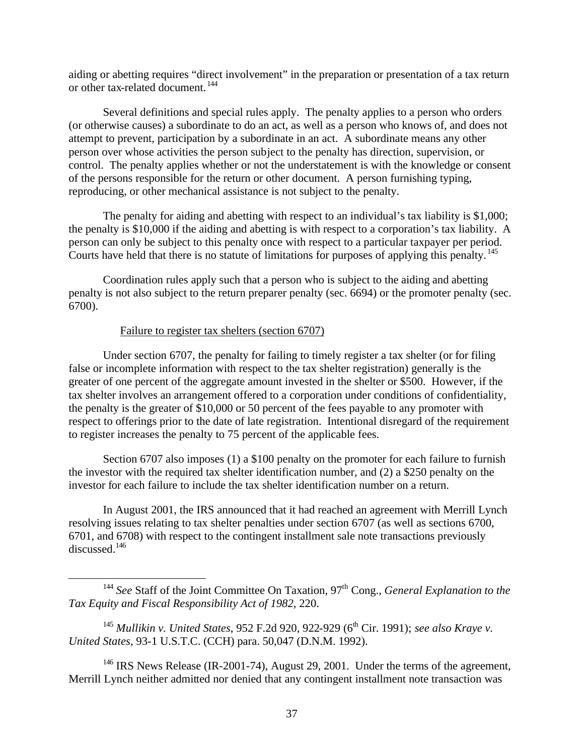aiding or abetting requires "direct involvement" in the preparation or presentation of a tax return or other tax-related document. <sup>144</sup>

Several definitions and special rules apply. The penalty applies to a person who orders (or otherwise causes) a subordinate to do an act, as well as a person who knows of, and does not attempt to prevent, participation by a subordinate in an act. A subordinate means any other person over whose activities the person subject to the penalty has direction, supervision, or control. The penalty applies whether or not the understatement is with the knowledge or consent of the persons responsible for the return or other document. A person furnishing typing, reproducing, or other mechanical assistance is not subject to the penalty.

The penalty for aiding and abetting with respect to an individual's tax liability is \$1,000; the penalty is \$10,000 if the aiding and abetting is with respect to a corporation's tax liability. A person can only be subject to this penalty once with respect to a particular taxpayer per period. Courts have held that there is no statute of limitations for purposes of applying this penalty.<sup>145</sup>

Coordination rules apply such that a person who is subject to the aiding and abetting penalty is not also subject to the return preparer penalty (sec. 6694) or the promoter penalty (sec. 6700).

# Failure to register tax shelters (section 6707)

 $\overline{a}$ 

Under section 6707, the penalty for failing to timely register a tax shelter (or for filing false or incomplete information with respect to the tax shelter registration) generally is the greater of one percent of the aggregate amount invested in the shelter or \$500. However, if the tax shelter involves an arrangement offered to a corporation under conditions of confidentiality, the penalty is the greater of \$10,000 or 50 percent of the fees payable to any promoter with respect to offerings prior to the date of late registration. Intentional disregard of the requirement to register increases the penalty to 75 percent of the applicable fees.

Section 6707 also imposes (1) a \$100 penalty on the promoter for each failure to furnish the investor with the required tax shelter identification number, and (2) a \$250 penalty on the investor for each failure to include the tax shelter identification number on a return.

In August 2001, the IRS announced that it had reached an agreement with Merrill Lynch resolving issues relating to tax shelter penalties under section 6707 (as well as sections 6700, 6701, and 6708) with respect to the contingent installment sale note transactions previously discussed.<sup>146</sup>

<sup>146</sup> IRS News Release (IR-2001-74), August 29, 2001. Under the terms of the agreement, Merrill Lynch neither admitted nor denied that any contingent installment note transaction was

<sup>&</sup>lt;sup>144</sup> *See* Staff of the Joint Committee On Taxation, 97<sup>th</sup> Cong., *General Explanation to the Tax Equity and Fiscal Responsibility Act of 1982*, 220.

<sup>&</sup>lt;sup>145</sup> Mullikin v. United States, 952 F.2d 920, 922-929 (6<sup>th</sup> Cir. 1991); *see also Kraye v. United States*, 93-1 U.S.T.C. (CCH) para. 50,047 (D.N.M. 1992).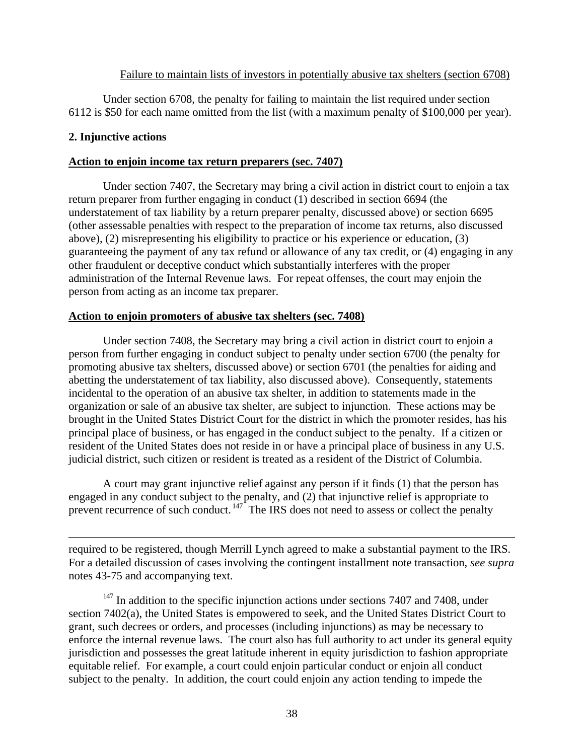### Failure to maintain lists of investors in potentially abusive tax shelters (section 6708)

Under section 6708, the penalty for failing to maintain the list required under section 6112 is \$50 for each name omitted from the list (with a maximum penalty of \$100,000 per year).

# **2. Injunctive actions**

 $\overline{a}$ 

### **Action to enjoin income tax return preparers (sec. 7407)**

Under section 7407, the Secretary may bring a civil action in district court to enjoin a tax return preparer from further engaging in conduct (1) described in section 6694 (the understatement of tax liability by a return preparer penalty, discussed above) or section 6695 (other assessable penalties with respect to the preparation of income tax returns, also discussed above), (2) misrepresenting his eligibility to practice or his experience or education, (3) guaranteeing the payment of any tax refund or allowance of any tax credit, or (4) engaging in any other fraudulent or deceptive conduct which substantially interferes with the proper administration of the Internal Revenue laws. For repeat offenses, the court may enjoin the person from acting as an income tax preparer.

# **Action to enjoin promoters of abusive tax shelters (sec. 7408)**

Under section 7408, the Secretary may bring a civil action in district court to enjoin a person from further engaging in conduct subject to penalty under section 6700 (the penalty for promoting abusive tax shelters, discussed above) or section 6701 (the penalties for aiding and abetting the understatement of tax liability, also discussed above). Consequently, statements incidental to the operation of an abusive tax shelter, in addition to statements made in the organization or sale of an abusive tax shelter, are subject to injunction. These actions may be brought in the United States District Court for the district in which the promoter resides, has his principal place of business, or has engaged in the conduct subject to the penalty. If a citizen or resident of the United States does not reside in or have a principal place of business in any U.S. judicial district, such citizen or resident is treated as a resident of the District of Columbia.

A court may grant injunctive relief against any person if it finds (1) that the person has engaged in any conduct subject to the penalty, and (2) that injunctive relief is appropriate to prevent recurrence of such conduct.  $147$  The IRS does not need to assess or collect the penalty

required to be registered, though Merrill Lynch agreed to make a substantial payment to the IRS. For a detailed discussion of cases involving the contingent installment note transaction, *see supra* notes 43-75 and accompanying text.

 $147$  In addition to the specific injunction actions under sections 7407 and 7408, under section 7402(a), the United States is empowered to seek, and the United States District Court to grant, such decrees or orders, and processes (including injunctions) as may be necessary to enforce the internal revenue laws. The court also has full authority to act under its general equity jurisdiction and possesses the great latitude inherent in equity jurisdiction to fashion appropriate equitable relief. For example, a court could enjoin particular conduct or enjoin all conduct subject to the penalty. In addition, the court could enjoin any action tending to impede the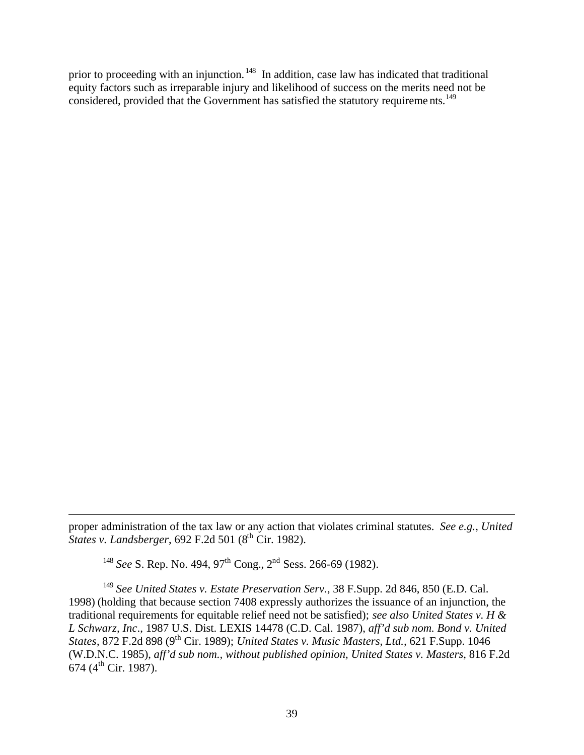prior to proceeding with an injunction.<sup>148</sup> In addition, case law has indicated that traditional equity factors such as irreparable injury and likelihood of success on the merits need not be considered, provided that the Government has satisfied the statutory requirements.<sup>149</sup>

proper administration of the tax law or any action that violates criminal statutes. *See e.g., United States v. Landsberger*, 692 F.2d 501 (8th Cir. 1982).

<sup>148</sup> *See* S. Rep. No. 494, 97<sup>th</sup> Cong., 2<sup>nd</sup> Sess. 266-69 (1982).

1

<sup>149</sup> *See United States v. Estate Preservation Serv.*, 38 F.Supp. 2d 846, 850 (E.D. Cal. 1998) (holding that because section 7408 expressly authorizes the issuance of an injunction, the traditional requirements for equitable relief need not be satisfied); *see also United States v. H & L Schwarz, Inc*., 1987 U.S. Dist. LEXIS 14478 (C.D. Cal. 1987), *aff'd sub nom. Bond v. United States*, 872 F.2d 898 (9th Cir. 1989); *United States v. Music Masters, Ltd.,* 621 F.Supp. 1046 (W.D.N.C. 1985), *aff'd sub nom., without published opinion, United States v. Masters*, 816 F.2d  $674$  (4<sup>th</sup> Cir. 1987).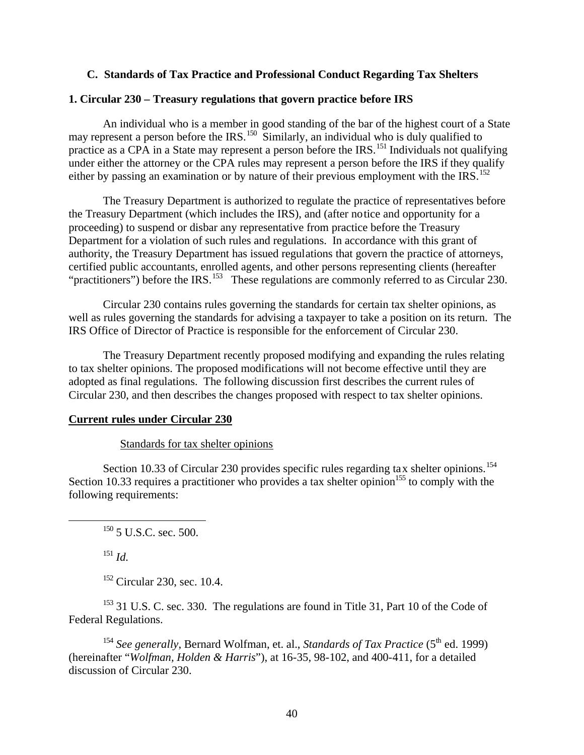# **C. Standards of Tax Practice and Professional Conduct Regarding Tax Shelters**

# **1. Circular 230 – Treasury regulations that govern practice before IRS**

An individual who is a member in good standing of the bar of the highest court of a State may represent a person before the IRS.<sup>150</sup> Similarly, an individual who is duly qualified to practice as a CPA in a State may represent a person before the IRS.<sup>151</sup> Individuals not qualifying under either the attorney or the CPA rules may represent a person before the IRS if they qualify either by passing an examination or by nature of their previous employment with the IRS.<sup>152</sup>

The Treasury Department is authorized to regulate the practice of representatives before the Treasury Department (which includes the IRS), and (after notice and opportunity for a proceeding) to suspend or disbar any representative from practice before the Treasury Department for a violation of such rules and regulations. In accordance with this grant of authority, the Treasury Department has issued regulations that govern the practice of attorneys, certified public accountants, enrolled agents, and other persons representing clients (hereafter "practitioners") before the IRS.<sup>153</sup> These regulations are commonly referred to as Circular 230.

Circular 230 contains rules governing the standards for certain tax shelter opinions, as well as rules governing the standards for advising a taxpayer to take a position on its return. The IRS Office of Director of Practice is responsible for the enforcement of Circular 230.

The Treasury Department recently proposed modifying and expanding the rules relating to tax shelter opinions. The proposed modifications will not become effective until they are adopted as final regulations. The following discussion first describes the current rules of Circular 230, and then describes the changes proposed with respect to tax shelter opinions.

### **Current rules under Circular 230**

#### Standards for tax shelter opinions

Section 10.33 of Circular 230 provides specific rules regarding tax shelter opinions.<sup>154</sup> Section 10.33 requires a practitioner who provides a tax shelter opinion<sup>155</sup> to comply with the following requirements:

 $150$  5 U.S.C. sec. 500.

<sup>151</sup> *Id.*

 $\overline{a}$ 

<sup>152</sup> Circular 230, sec. 10.4.

<sup>153</sup> 31 U.S. C. sec. 330. The regulations are found in Title 31, Part 10 of the Code of Federal Regulations.

<sup>154</sup> *See generally*, Bernard Wolfman, et. al., *Standards of Tax Practice* ( $5^{\text{th}}$  ed. 1999) (hereinafter "*Wolfman, Holden & Harris*"), at 16-35, 98-102, and 400-411, for a detailed discussion of Circular 230.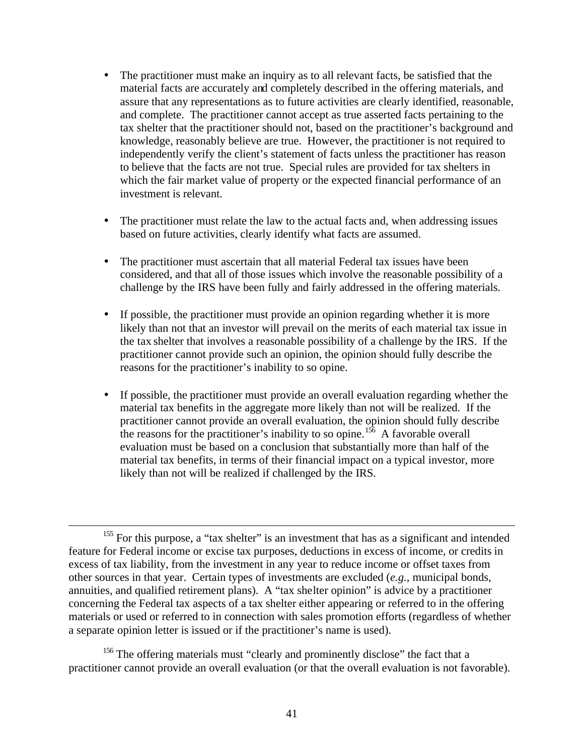- The practitioner must make an inquiry as to all relevant facts, be satisfied that the material facts are accurately and completely described in the offering materials, and assure that any representations as to future activities are clearly identified, reasonable, and complete. The practitioner cannot accept as true asserted facts pertaining to the tax shelter that the practitioner should not, based on the practitioner's background and knowledge, reasonably believe are true. However, the practitioner is not required to independently verify the client's statement of facts unless the practitioner has reason to believe that the facts are not true. Special rules are provided for tax shelters in which the fair market value of property or the expected financial performance of an investment is relevant.
- The practitioner must relate the law to the actual facts and, when addressing issues based on future activities, clearly identify what facts are assumed.
- The practitioner must ascertain that all material Federal tax issues have been considered, and that all of those issues which involve the reasonable possibility of a challenge by the IRS have been fully and fairly addressed in the offering materials.
- If possible, the practitioner must provide an opinion regarding whether it is more likely than not that an investor will prevail on the merits of each material tax issue in the tax shelter that involves a reasonable possibility of a challenge by the IRS. If the practitioner cannot provide such an opinion, the opinion should fully describe the reasons for the practitioner's inability to so opine.
- If possible, the practitioner must provide an overall evaluation regarding whether the material tax benefits in the aggregate more likely than not will be realized. If the practitioner cannot provide an overall evaluation, the opinion should fully describe the reasons for the practitioner's inability to so opine.<sup>156</sup> A favorable overall evaluation must be based on a conclusion that substantially more than half of the material tax benefits, in terms of their financial impact on a typical investor, more likely than not will be realized if challenged by the IRS.

1

<sup>156</sup> The offering materials must "clearly and prominently disclose" the fact that a practitioner cannot provide an overall evaluation (or that the overall evaluation is not favorable).

 $155$  For this purpose, a "tax shelter" is an investment that has as a significant and intended feature for Federal income or excise tax purposes, deductions in excess of income, or credits in excess of tax liability, from the investment in any year to reduce income or offset taxes from other sources in that year. Certain types of investments are excluded (*e.g.*, municipal bonds, annuities, and qualified retirement plans). A "tax shelter opinion" is advice by a practitioner concerning the Federal tax aspects of a tax shelter either appearing or referred to in the offering materials or used or referred to in connection with sales promotion efforts (regardless of whether a separate opinion letter is issued or if the practitioner's name is used).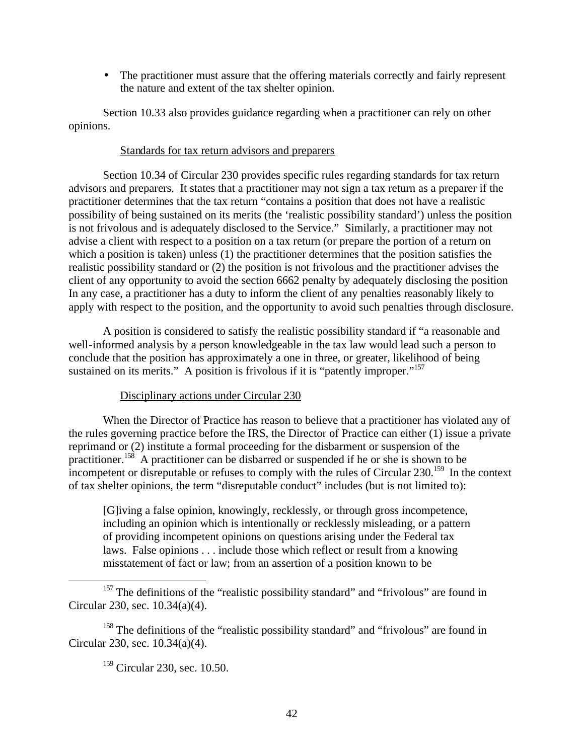• The practitioner must assure that the offering materials correctly and fairly represent the nature and extent of the tax shelter opinion.

Section 10.33 also provides guidance regarding when a practitioner can rely on other opinions.

# Standards for tax return advisors and preparers

Section 10.34 of Circular 230 provides specific rules regarding standards for tax return advisors and preparers. It states that a practitioner may not sign a tax return as a preparer if the practitioner determines that the tax return "contains a position that does not have a realistic possibility of being sustained on its merits (the 'realistic possibility standard') unless the position is not frivolous and is adequately disclosed to the Service." Similarly, a practitioner may not advise a client with respect to a position on a tax return (or prepare the portion of a return on which a position is taken) unless (1) the practitioner determines that the position satisfies the realistic possibility standard or (2) the position is not frivolous and the practitioner advises the client of any opportunity to avoid the section 6662 penalty by adequately disclosing the position In any case, a practitioner has a duty to inform the client of any penalties reasonably likely to apply with respect to the position, and the opportunity to avoid such penalties through disclosure.

A position is considered to satisfy the realistic possibility standard if "a reasonable and well-informed analysis by a person knowledgeable in the tax law would lead such a person to conclude that the position has approximately a one in three, or greater, likelihood of being sustained on its merits." A position is frivolous if it is "patently improper."<sup>157</sup>

# Disciplinary actions under Circular 230

When the Director of Practice has reason to believe that a practitioner has violated any of the rules governing practice before the IRS, the Director of Practice can either (1) issue a private reprimand or (2) institute a formal proceeding for the disbarment or suspension of the practitioner.<sup>158</sup> A practitioner can be disbarred or suspended if he or she is shown to be incompetent or disreputable or refuses to comply with the rules of Circular 230.<sup>159</sup> In the context of tax shelter opinions, the term "disreputable conduct" includes (but is not limited to):

[G]iving a false opinion, knowingly, recklessly, or through gross incompetence, including an opinion which is intentionally or recklessly misleading, or a pattern of providing incompetent opinions on questions arising under the Federal tax laws. False opinions . . . include those which reflect or result from a knowing misstatement of fact or law; from an assertion of a position known to be

<sup>157</sup> The definitions of the "realistic possibility standard" and "frivolous" are found in Circular 230, sec. 10.34(a)(4).

<sup>158</sup> The definitions of the "realistic possibility standard" and "frivolous" are found in Circular 230, sec. 10.34(a)(4).

<sup>159</sup> Circular 230, sec. 10.50.

 $\overline{a}$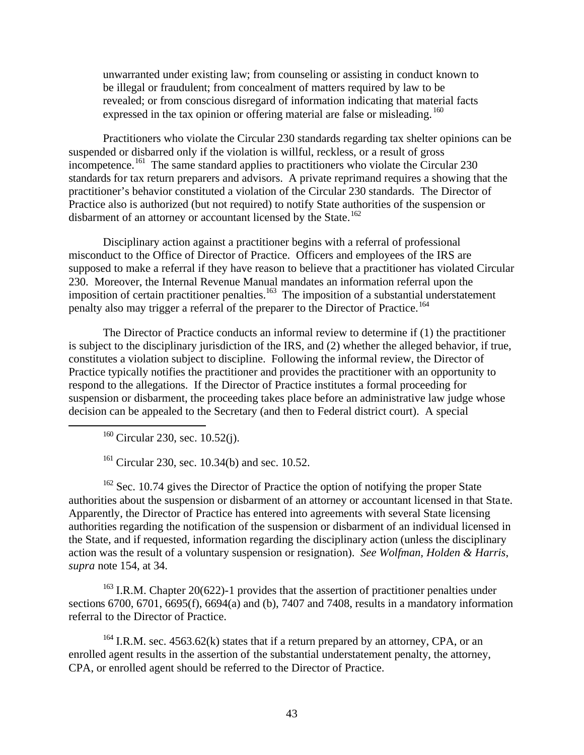unwarranted under existing law; from counseling or assisting in conduct known to be illegal or fraudulent; from concealment of matters required by law to be revealed; or from conscious disregard of information indicating that material facts expressed in the tax opinion or offering material are false or misleading.  $^{160}$ 

Practitioners who violate the Circular 230 standards regarding tax shelter opinions can be suspended or disbarred only if the violation is willful, reckless, or a result of gross incompetence.<sup>161</sup> The same standard applies to practitioners who violate the Circular 230 standards for tax return preparers and advisors. A private reprimand requires a showing that the practitioner's behavior constituted a violation of the Circular 230 standards. The Director of Practice also is authorized (but not required) to notify State authorities of the suspension or disbarment of an attorney or accountant licensed by the State.<sup>162</sup>

Disciplinary action against a practitioner begins with a referral of professional misconduct to the Office of Director of Practice. Officers and employees of the IRS are supposed to make a referral if they have reason to believe that a practitioner has violated Circular 230. Moreover, the Internal Revenue Manual mandates an information referral upon the imposition of certain practitioner penalties.<sup>163</sup> The imposition of a substantial understatement penalty also may trigger a referral of the preparer to the Director of Practice.<sup>164</sup>

The Director of Practice conducts an informal review to determine if (1) the practitioner is subject to the disciplinary jurisdiction of the IRS, and (2) whether the alleged behavior, if true, constitutes a violation subject to discipline. Following the informal review, the Director of Practice typically notifies the practitioner and provides the practitioner with an opportunity to respond to the allegations. If the Director of Practice institutes a formal proceeding for suspension or disbarment, the proceeding takes place before an administrative law judge whose decision can be appealed to the Secretary (and then to Federal district court). A special

<sup>160</sup> Circular 230, sec. 10.52(j).

1

 $161$  Circular 230, sec. 10.34(b) and sec. 10.52.

 $162$  Sec. 10.74 gives the Director of Practice the option of notifying the proper State authorities about the suspension or disbarment of an attorney or accountant licensed in that State. Apparently, the Director of Practice has entered into agreements with several State licensing authorities regarding the notification of the suspension or disbarment of an individual licensed in the State, and if requested, information regarding the disciplinary action (unless the disciplinary action was the result of a voluntary suspension or resignation). *See Wolfman, Holden & Harris*, *supra* note 154, at 34.

 $163$  I.R.M. Chapter 20(622)-1 provides that the assertion of practitioner penalties under sections 6700, 6701, 6695(f), 6694(a) and (b), 7407 and 7408, results in a mandatory information referral to the Director of Practice.

 $164$  I.R.M. sec. 4563.62(k) states that if a return prepared by an attorney, CPA, or an enrolled agent results in the assertion of the substantial understatement penalty, the attorney, CPA, or enrolled agent should be referred to the Director of Practice.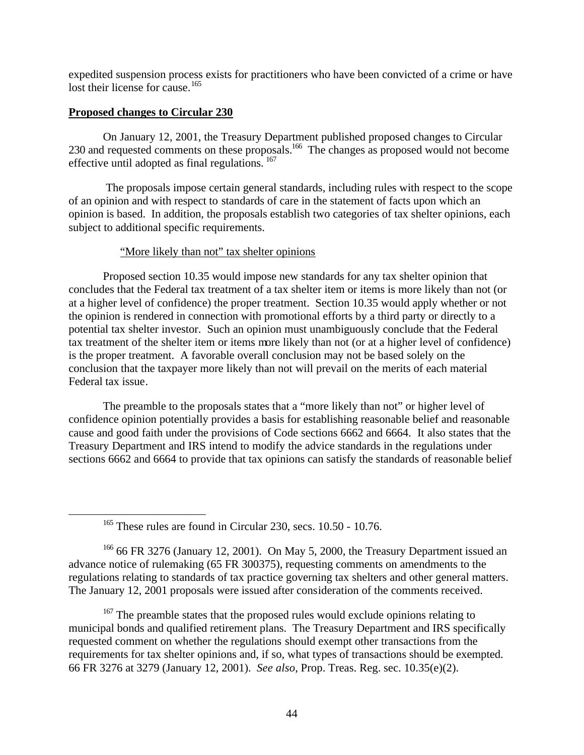expedited suspension process exists for practitioners who have been convicted of a crime or have lost their license for cause.<sup>165</sup>

# **Proposed changes to Circular 230**

 $\overline{a}$ 

On January 12, 2001, the Treasury Department published proposed changes to Circular 230 and requested comments on these proposals.<sup>166</sup> The changes as proposed would not become effective until adopted as final regulations.<sup>167</sup>

 The proposals impose certain general standards, including rules with respect to the scope of an opinion and with respect to standards of care in the statement of facts upon which an opinion is based. In addition, the proposals establish two categories of tax shelter opinions, each subject to additional specific requirements.

# "More likely than not" tax shelter opinions

Proposed section 10.35 would impose new standards for any tax shelter opinion that concludes that the Federal tax treatment of a tax shelter item or items is more likely than not (or at a higher level of confidence) the proper treatment. Section 10.35 would apply whether or not the opinion is rendered in connection with promotional efforts by a third party or directly to a potential tax shelter investor. Such an opinion must unambiguously conclude that the Federal tax treatment of the shelter item or items more likely than not (or at a higher level of confidence) is the proper treatment. A favorable overall conclusion may not be based solely on the conclusion that the taxpayer more likely than not will prevail on the merits of each material Federal tax issue.

The preamble to the proposals states that a "more likely than not" or higher level of confidence opinion potentially provides a basis for establishing reasonable belief and reasonable cause and good faith under the provisions of Code sections 6662 and 6664. It also states that the Treasury Department and IRS intend to modify the advice standards in the regulations under sections 6662 and 6664 to provide that tax opinions can satisfy the standards of reasonable belief

 $166$  66 FR 3276 (January 12, 2001). On May 5, 2000, the Treasury Department issued an advance notice of rulemaking (65 FR 300375), requesting comments on amendments to the regulations relating to standards of tax practice governing tax shelters and other general matters. The January 12, 2001 proposals were issued after consideration of the comments received.

<sup>167</sup> The preamble states that the proposed rules would exclude opinions relating to municipal bonds and qualified retirement plans. The Treasury Department and IRS specifically requested comment on whether the regulations should exempt other transactions from the requirements for tax shelter opinions and, if so, what types of transactions should be exempted. 66 FR 3276 at 3279 (January 12, 2001). *See also*, Prop. Treas. Reg. sec. 10.35(e)(2).

<sup>&</sup>lt;sup>165</sup> These rules are found in Circular 230, secs. 10.50 - 10.76.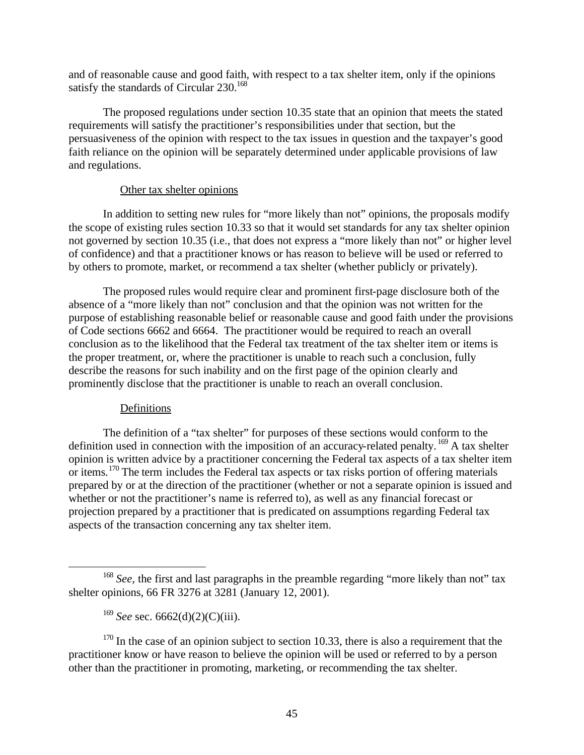and of reasonable cause and good faith, with respect to a tax shelter item, only if the opinions satisfy the standards of Circular  $230^{168}$ 

The proposed regulations under section 10.35 state that an opinion that meets the stated requirements will satisfy the practitioner's responsibilities under that section, but the persuasiveness of the opinion with respect to the tax issues in question and the taxpayer's good faith reliance on the opinion will be separately determined under applicable provisions of law and regulations.

# Other tax shelter opinions

In addition to setting new rules for "more likely than not" opinions, the proposals modify the scope of existing rules section 10.33 so that it would set standards for any tax shelter opinion not governed by section 10.35 (i.e., that does not express a "more likely than not" or higher level of confidence) and that a practitioner knows or has reason to believe will be used or referred to by others to promote, market, or recommend a tax shelter (whether publicly or privately).

The proposed rules would require clear and prominent first-page disclosure both of the absence of a "more likely than not" conclusion and that the opinion was not written for the purpose of establishing reasonable belief or reasonable cause and good faith under the provisions of Code sections 6662 and 6664. The practitioner would be required to reach an overall conclusion as to the likelihood that the Federal tax treatment of the tax shelter item or items is the proper treatment, or, where the practitioner is unable to reach such a conclusion, fully describe the reasons for such inability and on the first page of the opinion clearly and prominently disclose that the practitioner is unable to reach an overall conclusion.

# Definitions

 $\overline{a}$ 

The definition of a "tax shelter" for purposes of these sections would conform to the definition used in connection with the imposition of an accuracy-related penalty.  $169$  A tax shelter opinion is written advice by a practitioner concerning the Federal tax aspects of a tax shelter item or items.<sup>170</sup> The term includes the Federal tax aspects or tax risks portion of offering materials prepared by or at the direction of the practitioner (whether or not a separate opinion is issued and whether or not the practitioner's name is referred to), as well as any financial forecast or projection prepared by a practitioner that is predicated on assumptions regarding Federal tax aspects of the transaction concerning any tax shelter item.

 $170$  In the case of an opinion subject to section 10.33, there is also a requirement that the practitioner know or have reason to believe the opinion will be used or referred to by a person other than the practitioner in promoting, marketing, or recommending the tax shelter.

<sup>&</sup>lt;sup>168</sup> See, the first and last paragraphs in the preamble regarding "more likely than not" tax shelter opinions, 66 FR 3276 at 3281 (January 12, 2001).

<sup>&</sup>lt;sup>169</sup> *See* sec. 6662(d)(2)(C)(iii).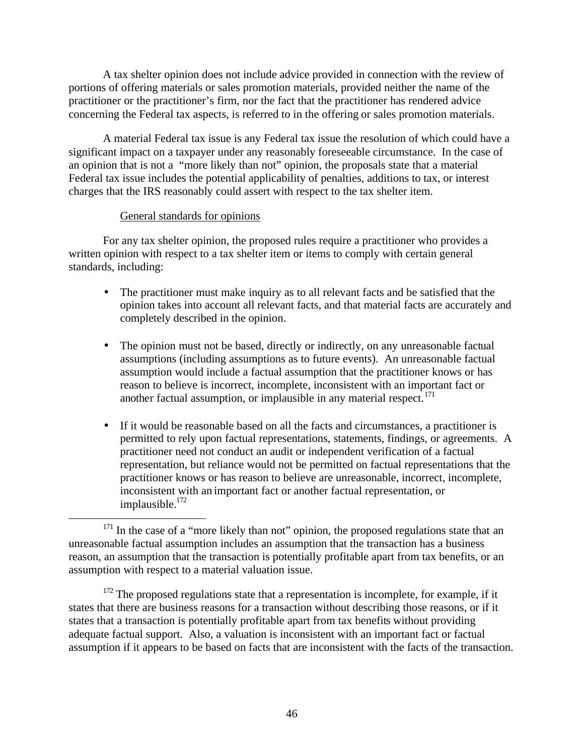A tax shelter opinion does not include advice provided in connection with the review of portions of offering materials or sales promotion materials, provided neither the name of the practitioner or the practitioner's firm, nor the fact that the practitioner has rendered advice concerning the Federal tax aspects, is referred to in the offering or sales promotion materials.

A material Federal tax issue is any Federal tax issue the resolution of which could have a significant impact on a taxpayer under any reasonably foreseeable circumstance. In the case of an opinion that is not a "more likely than not" opinion, the proposals state that a material Federal tax issue includes the potential applicability of penalties, additions to tax, or interest charges that the IRS reasonably could assert with respect to the tax shelter item.

# General standards for opinions

1

For any tax shelter opinion, the proposed rules require a practitioner who provides a written opinion with respect to a tax shelter item or items to comply with certain general standards, including:

- The practitioner must make inquiry as to all relevant facts and be satisfied that the opinion takes into account all relevant facts, and that material facts are accurately and completely described in the opinion.
- The opinion must not be based, directly or indirectly, on any unreasonable factual assumptions (including assumptions as to future events). An unreasonable factual assumption would include a factual assumption that the practitioner knows or has reason to believe is incorrect, incomplete, inconsistent with an important fact or another factual assumption, or implausible in any material respect. $171$
- If it would be reasonable based on all the facts and circumstances, a practitioner is permitted to rely upon factual representations, statements, findings, or agreements. A practitioner need not conduct an audit or independent verification of a factual representation, but reliance would not be permitted on factual representations that the practitioner knows or has reason to believe are unreasonable, incorrect, incomplete, inconsistent with an important fact or another factual representation, or implausible.<sup>172</sup>

 $172$  The proposed regulations state that a representation is incomplete, for example, if it states that there are business reasons for a transaction without describing those reasons, or if it states that a transaction is potentially profitable apart from tax benefits without providing adequate factual support. Also, a valuation is inconsistent with an important fact or factual assumption if it appears to be based on facts that are inconsistent with the facts of the transaction.

 $171$  In the case of a "more likely than not" opinion, the proposed regulations state that an unreasonable factual assumption includes an assumption that the transaction has a business reason, an assumption that the transaction is potentially profitable apart from tax benefits, or an assumption with respect to a material valuation issue.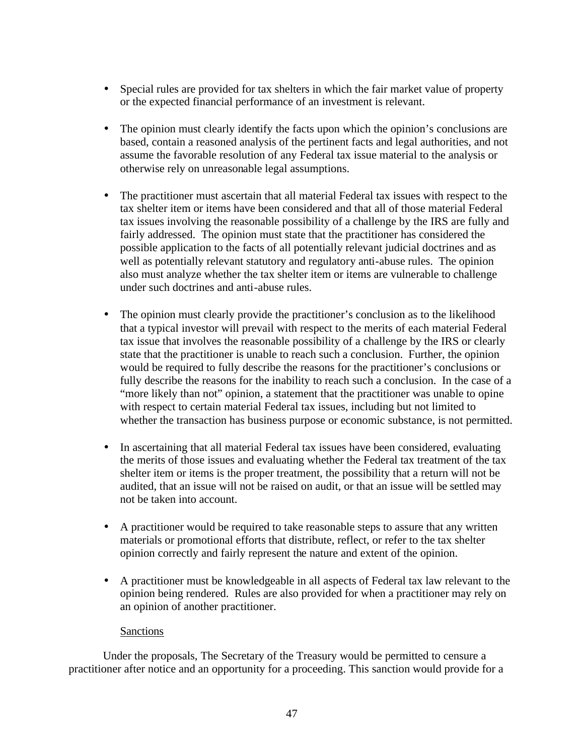- Special rules are provided for tax shelters in which the fair market value of property or the expected financial performance of an investment is relevant.
- The opinion must clearly identify the facts upon which the opinion's conclusions are based, contain a reasoned analysis of the pertinent facts and legal authorities, and not assume the favorable resolution of any Federal tax issue material to the analysis or otherwise rely on unreasonable legal assumptions.
- The practitioner must ascertain that all material Federal tax issues with respect to the tax shelter item or items have been considered and that all of those material Federal tax issues involving the reasonable possibility of a challenge by the IRS are fully and fairly addressed. The opinion must state that the practitioner has considered the possible application to the facts of all potentially relevant judicial doctrines and as well as potentially relevant statutory and regulatory anti-abuse rules. The opinion also must analyze whether the tax shelter item or items are vulnerable to challenge under such doctrines and anti-abuse rules.
- The opinion must clearly provide the practitioner's conclusion as to the likelihood that a typical investor will prevail with respect to the merits of each material Federal tax issue that involves the reasonable possibility of a challenge by the IRS or clearly state that the practitioner is unable to reach such a conclusion. Further, the opinion would be required to fully describe the reasons for the practitioner's conclusions or fully describe the reasons for the inability to reach such a conclusion. In the case of a "more likely than not" opinion, a statement that the practitioner was unable to opine with respect to certain material Federal tax issues, including but not limited to whether the transaction has business purpose or economic substance, is not permitted.
- In ascertaining that all material Federal tax issues have been considered, evaluating the merits of those issues and evaluating whether the Federal tax treatment of the tax shelter item or items is the proper treatment, the possibility that a return will not be audited, that an issue will not be raised on audit, or that an issue will be settled may not be taken into account.
- A practitioner would be required to take reasonable steps to assure that any written materials or promotional efforts that distribute, reflect, or refer to the tax shelter opinion correctly and fairly represent the nature and extent of the opinion.
- A practitioner must be knowledgeable in all aspects of Federal tax law relevant to the opinion being rendered. Rules are also provided for when a practitioner may rely on an opinion of another practitioner.

# Sanctions

Under the proposals, The Secretary of the Treasury would be permitted to censure a practitioner after notice and an opportunity for a proceeding. This sanction would provide for a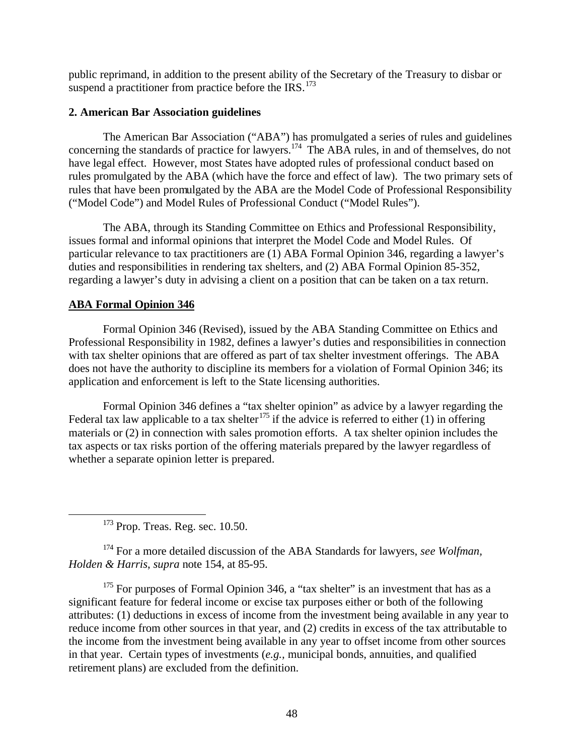public reprimand, in addition to the present ability of the Secretary of the Treasury to disbar or suspend a practitioner from practice before the IRS. $^{173}$ 

# **2. American Bar Association guidelines**

The American Bar Association ("ABA") has promulgated a series of rules and guidelines concerning the standards of practice for lawyers.<sup>174</sup> The ABA rules, in and of themselves, do not have legal effect. However, most States have adopted rules of professional conduct based on rules promulgated by the ABA (which have the force and effect of law). The two primary sets of rules that have been promulgated by the ABA are the Model Code of Professional Responsibility ("Model Code") and Model Rules of Professional Conduct ("Model Rules").

The ABA, through its Standing Committee on Ethics and Professional Responsibility, issues formal and informal opinions that interpret the Model Code and Model Rules. Of particular relevance to tax practitioners are (1) ABA Formal Opinion 346, regarding a lawyer's duties and responsibilities in rendering tax shelters, and (2) ABA Formal Opinion 85-352, regarding a lawyer's duty in advising a client on a position that can be taken on a tax return.

# **ABA Formal Opinion 346**

1

Formal Opinion 346 (Revised), issued by the ABA Standing Committee on Ethics and Professional Responsibility in 1982, defines a lawyer's duties and responsibilities in connection with tax shelter opinions that are offered as part of tax shelter investment offerings. The ABA does not have the authority to discipline its members for a violation of Formal Opinion 346; its application and enforcement is left to the State licensing authorities.

Formal Opinion 346 defines a "tax shelter opinion" as advice by a lawyer regarding the Federal tax law applicable to a tax shelter<sup>175</sup> if the advice is referred to either (1) in offering materials or (2) in connection with sales promotion efforts. A tax shelter opinion includes the tax aspects or tax risks portion of the offering materials prepared by the lawyer regardless of whether a separate opinion letter is prepared.

<sup>173</sup> Prop. Treas. Reg. sec. 10.50.

<sup>174</sup> For a more detailed discussion of the ABA Standards for lawyers, *see Wolfman, Holden & Harris*, *supra* note 154, at 85-95.

 $175$  For purposes of Formal Opinion 346, a "tax shelter" is an investment that has as a significant feature for federal income or excise tax purposes either or both of the following attributes: (1) deductions in excess of income from the investment being available in any year to reduce income from other sources in that year, and (2) credits in excess of the tax attributable to the income from the investment being available in any year to offset income from other sources in that year. Certain types of investments (*e.g.,* municipal bonds, annuities, and qualified retirement plans) are excluded from the definition.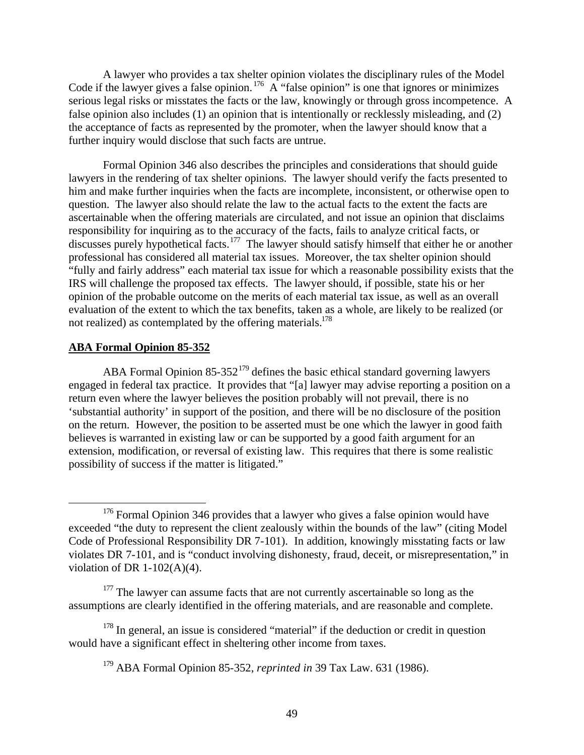A lawyer who provides a tax shelter opinion violates the disciplinary rules of the Model Code if the lawyer gives a false opinion.<sup>176</sup> A "false opinion" is one that ignores or minimizes serious legal risks or misstates the facts or the law, knowingly or through gross incompetence. A false opinion also includes (1) an opinion that is intentionally or recklessly misleading, and (2) the acceptance of facts as represented by the promoter, when the lawyer should know that a further inquiry would disclose that such facts are untrue.

Formal Opinion 346 also describes the principles and considerations that should guide lawyers in the rendering of tax shelter opinions. The lawyer should verify the facts presented to him and make further inquiries when the facts are incomplete, inconsistent, or otherwise open to question. The lawyer also should relate the law to the actual facts to the extent the facts are ascertainable when the offering materials are circulated, and not issue an opinion that disclaims responsibility for inquiring as to the accuracy of the facts, fails to analyze critical facts, or discusses purely hypothetical facts.<sup>177</sup> The lawyer should satisfy himself that either he or another professional has considered all material tax issues. Moreover, the tax shelter opinion should "fully and fairly address" each material tax issue for which a reasonable possibility exists that the IRS will challenge the proposed tax effects. The lawyer should, if possible, state his or her opinion of the probable outcome on the merits of each material tax issue, as well as an overall evaluation of the extent to which the tax benefits, taken as a whole, are likely to be realized (or not realized) as contemplated by the offering materials.<sup>178</sup>

### **ABA Formal Opinion 85-352**

 $\overline{a}$ 

ABA Formal Opinion  $85-352^{179}$  defines the basic ethical standard governing lawyers engaged in federal tax practice. It provides that "[a] lawyer may advise reporting a position on a return even where the lawyer believes the position probably will not prevail, there is no 'substantial authority' in support of the position, and there will be no disclosure of the position on the return. However, the position to be asserted must be one which the lawyer in good faith believes is warranted in existing law or can be supported by a good faith argument for an extension, modification, or reversal of existing law. This requires that there is some realistic possibility of success if the matter is litigated."

<sup>&</sup>lt;sup>176</sup> Formal Opinion 346 provides that a lawyer who gives a false opinion would have exceeded "the duty to represent the client zealously within the bounds of the law" (citing Model Code of Professional Responsibility DR 7-101). In addition, knowingly misstating facts or law violates DR 7-101, and is "conduct involving dishonesty, fraud, deceit, or misrepresentation," in violation of DR  $1-102(A)(4)$ .

 $177$  The lawyer can assume facts that are not currently ascertainable so long as the assumptions are clearly identified in the offering materials, and are reasonable and complete.

<sup>&</sup>lt;sup>178</sup> In general, an issue is considered "material" if the deduction or credit in question would have a significant effect in sheltering other income from taxes.

<sup>179</sup> ABA Formal Opinion 85-352, *reprinted in* 39 Tax Law. 631 (1986).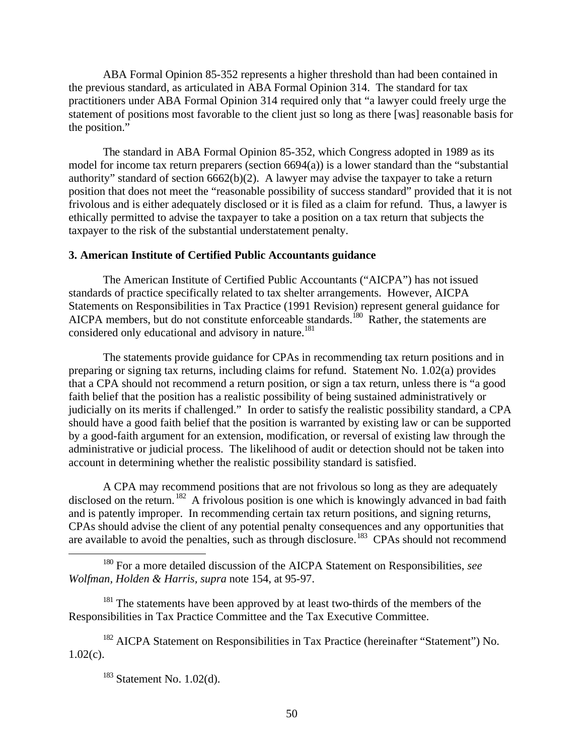ABA Formal Opinion 85-352 represents a higher threshold than had been contained in the previous standard, as articulated in ABA Formal Opinion 314. The standard for tax practitioners under ABA Formal Opinion 314 required only that "a lawyer could freely urge the statement of positions most favorable to the client just so long as there [was] reasonable basis for the position."

The standard in ABA Formal Opinion 85-352, which Congress adopted in 1989 as its model for income tax return preparers (section 6694(a)) is a lower standard than the "substantial authority" standard of section 6662(b)(2). A lawyer may advise the taxpayer to take a return position that does not meet the "reasonable possibility of success standard" provided that it is not frivolous and is either adequately disclosed or it is filed as a claim for refund. Thus, a lawyer is ethically permitted to advise the taxpayer to take a position on a tax return that subjects the taxpayer to the risk of the substantial understatement penalty.

### **3. American Institute of Certified Public Accountants guidance**

The American Institute of Certified Public Accountants ("AICPA") has not issued standards of practice specifically related to tax shelter arrangements. However, AICPA Statements on Responsibilities in Tax Practice (1991 Revision) represent general guidance for AICPA members, but do not constitute enforceable standards.<sup>180</sup> Rather, the statements are considered only educational and advisory in nature.<sup>181</sup>

The statements provide guidance for CPAs in recommending tax return positions and in preparing or signing tax returns, including claims for refund. Statement No. 1.02(a) provides that a CPA should not recommend a return position, or sign a tax return, unless there is "a good faith belief that the position has a realistic possibility of being sustained administratively or judicially on its merits if challenged." In order to satisfy the realistic possibility standard, a CPA should have a good faith belief that the position is warranted by existing law or can be supported by a good-faith argument for an extension, modification, or reversal of existing law through the administrative or judicial process. The likelihood of audit or detection should not be taken into account in determining whether the realistic possibility standard is satisfied.

A CPA may recommend positions that are not frivolous so long as they are adequately disclosed on the return. <sup>182</sup> A frivolous position is one which is knowingly advanced in bad faith and is patently improper. In recommending certain tax return positions, and signing returns, CPAs should advise the client of any potential penalty consequences and any opportunities that are available to avoid the penalties, such as through disclosure.<sup>183</sup> CPAs should not recommend

<sup>180</sup> For a more detailed discussion of the AICPA Statement on Responsibilities, *see Wolfman, Holden & Harris, supra* note 154, at 95-97.

<sup>181</sup> The statements have been approved by at least two-thirds of the members of the Responsibilities in Tax Practice Committee and the Tax Executive Committee.

<sup>182</sup> AICPA Statement on Responsibilities in Tax Practice (hereinafter "Statement") No.  $1.02(c)$ .

1

 $183$  Statement No. 1.02(d).